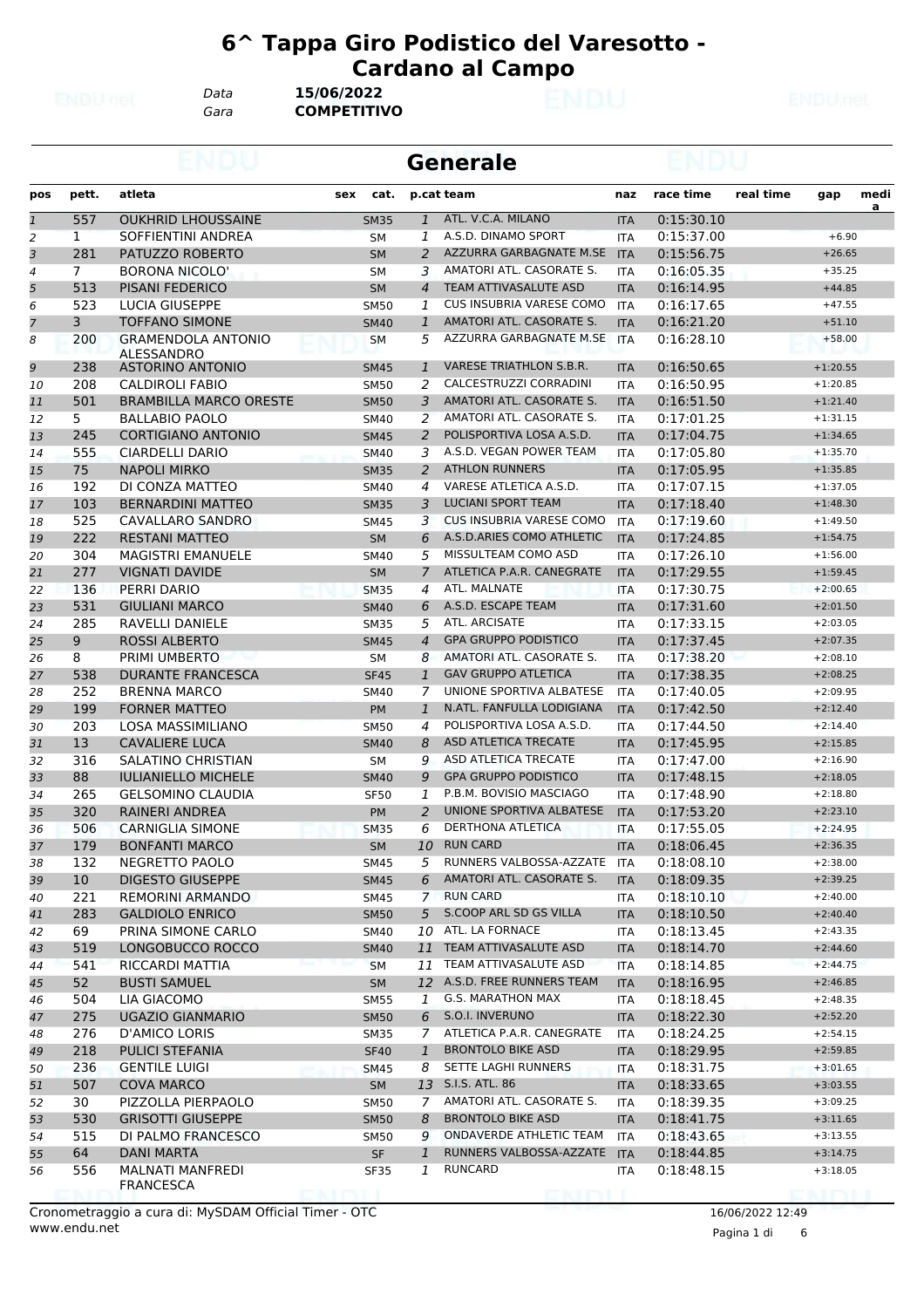*Data* **15/06/2022**

*Gara* **COMPETITIVO**

|                |                |                                                   |     |                            |                     | <b>Generale</b>                                     |                   |                          |           |                          |           |
|----------------|----------------|---------------------------------------------------|-----|----------------------------|---------------------|-----------------------------------------------------|-------------------|--------------------------|-----------|--------------------------|-----------|
| pos            | pett.          | atleta                                            | sex | cat.                       |                     | p.cat team                                          | naz               | race time                | real time | gap                      | medi<br>a |
| $\mathbf{1}$   | 557            | <b>OUKHRID LHOUSSAINE</b>                         |     | <b>SM35</b>                | $\mathbf{1}$        | ATL. V.C.A. MILANO                                  | <b>ITA</b>        | 0:15:30.10               |           |                          |           |
| 2              | $\mathbf{1}$   | SOFFIENTINI ANDREA                                |     | <b>SM</b>                  | 1                   | A.S.D. DINAMO SPORT                                 | <b>ITA</b>        | 0:15:37.00               |           | $+6.90$                  |           |
| 3              | 281            | PATUZZO ROBERTO                                   |     | <b>SM</b>                  | $\overline{2}$      | AZZURRA GARBAGNATE M.SE                             | <b>ITA</b>        | 0:15:56.75               |           | $+26.65$                 |           |
| 4              | $\overline{7}$ | <b>BORONA NICOLO'</b>                             |     | <b>SM</b>                  | 3                   | AMATORI ATL. CASORATE S.                            | ITA               | 0:16:05.35               |           | $+35.25$                 |           |
| 5              | 513            | PISANI FEDERICO                                   |     | <b>SM</b>                  | $\overline{4}$      | TEAM ATTIVASALUTE ASD                               | <b>ITA</b>        | 0:16:14.95               |           | $+44.85$                 |           |
| 6              | 523            | LUCIA GIUSEPPE                                    |     | <b>SM50</b>                | 1                   | CUS INSUBRIA VARESE COMO                            | <b>ITA</b>        | 0:16:17.65               |           | $+47.55$                 |           |
| $\overline{7}$ | 3              | <b>TOFFANO SIMONE</b>                             |     | <b>SM40</b>                | $\mathbf{1}$        | AMATORI ATL. CASORATE S.                            | <b>ITA</b>        | 0:16:21.20               |           | $+51.10$                 |           |
| 8              | 200            | <b>GRAMENDOLA ANTONIO</b><br>ALESSANDRO           |     | SМ                         | 5                   | AZZURRA GARBAGNATE M.SE ITA                         |                   | 0:16:28.10               |           | $+58.00$                 |           |
| 9              | 238            | ASTORINO ANTONIO                                  |     | <b>SM45</b>                | $\mathbf{1}$        | <b>VARESE TRIATHLON S.B.R.</b>                      | <b>ITA</b>        | 0:16:50.65               |           | $+1:20.55$               |           |
| 10             | 208            | <b>CALDIROLI FABIO</b>                            |     | <b>SM50</b>                | 2                   | CALCESTRUZZI CORRADINI                              | <b>ITA</b>        | 0:16:50.95               |           | $+1:20.85$               |           |
| 11             | 501            | <b>BRAMBILLA MARCO ORESTE</b>                     |     | <b>SM50</b>                | 3                   | AMATORI ATL. CASORATE S.                            | <b>ITA</b>        | 0:16:51.50               |           | $+1:21.40$               |           |
| 12             | 5              | <b>BALLABIO PAOLO</b>                             |     | SM40                       | 2                   | AMATORI ATL. CASORATE S.                            | ITA               | 0:17:01.25               |           | $+1:31.15$               |           |
| 13             | 245            | <b>CORTIGIANO ANTONIO</b>                         |     | <b>SM45</b>                | $\overline{2}$      | POLISPORTIVA LOSA A.S.D.<br>A.S.D. VEGAN POWER TEAM | <b>ITA</b>        | 0:17:04.75               |           | $+1:34.65$               |           |
| 14             | 555            | CIARDELLI DARIO                                   |     | <b>SM40</b>                | 3                   | <b>ATHLON RUNNERS</b>                               | <b>ITA</b>        | 0:17:05.80               |           | $+1:35.70$               |           |
| 15             | 75<br>192      | <b>NAPOLI MIRKO</b><br>DI CONZA MATTEO            |     | <b>SM35</b>                | $\overline{2}$<br>4 | VARESE ATLETICA A.S.D.                              | <b>ITA</b>        | 0:17:05.95<br>0:17:07.15 |           | $+1:35.85$               |           |
| 16             | 103            |                                                   |     | SM40                       | 3                   | <b>LUCIANI SPORT TEAM</b>                           | <b>ITA</b>        |                          |           | $+1:37.05$               |           |
| 17             | 525            | <b>BERNARDINI MATTEO</b>                          |     | <b>SM35</b>                |                     | <b>CUS INSUBRIA VARESE COMO</b>                     | <b>ITA</b>        | 0:17:18.40               |           | $+1:48.30$<br>$+1:49.50$ |           |
| 18             | 222            | CAVALLARO SANDRO                                  |     | <b>SM45</b>                | 3                   | A.S.D.ARIES COMO ATHLETIC                           | <b>ITA</b>        | 0:17:19.60               |           |                          |           |
| 19             | 304            | <b>RESTANI MATTEO</b><br><b>MAGISTRI EMANUELE</b> |     | <b>SM</b>                  | 6<br>5              | MISSULTEAM COMO ASD                                 | <b>ITA</b>        | 0:17:24.85<br>0:17:26.10 |           | $+1:54.75$<br>$+1:56.00$ |           |
| 20             | 277            |                                                   |     | <b>SM40</b>                | $\overline{7}$      | ATLETICA P.A.R. CANEGRATE                           | <b>ITA</b>        |                          |           | $+1:59.45$               |           |
| 21             | 136            | <b>VIGNATI DAVIDE</b><br>PERRI DARIO              |     | <b>SM</b>                  | 4                   | ATL. MALNATE                                        | <b>ITA</b>        | 0:17:29.55               |           |                          |           |
| 22             | 531            |                                                   |     | <b>SM35</b>                | 6                   | A.S.D. ESCAPE TEAM                                  | <b>ITA</b>        | 0:17:30.75               |           | $+2:00.65$               |           |
| 23             | 285            | <b>GIULIANI MARCO</b><br>RAVELLI DANIELE          |     | <b>SM40</b>                | 5                   | ATL. ARCISATE                                       | <b>ITA</b>        | 0:17:31.60<br>0:17:33.15 |           | $+2:01.50$<br>$+2:03.05$ |           |
| 24<br>25       | 9              | <b>ROSSI ALBERTO</b>                              |     | <b>SM35</b><br><b>SM45</b> | $\overline{4}$      | <b>GPA GRUPPO PODISTICO</b>                         | ITA<br><b>ITA</b> | 0:17:37.45               |           | $+2:07.35$               |           |
| 26             | 8              | PRIMI UMBERTO                                     |     | <b>SM</b>                  | 8                   | AMATORI ATL. CASORATE S.                            | <b>ITA</b>        | 0:17:38.20               |           | $+2:08.10$               |           |
| 27             | 538            | <b>DURANTE FRANCESCA</b>                          |     | <b>SF45</b>                | $\mathbf{1}$        | <b>GAV GRUPPO ATLETICA</b>                          | <b>ITA</b>        | 0:17:38.35               |           | $+2:08.25$               |           |
| 28             | 252            | <b>BRENNA MARCO</b>                               |     | <b>SM40</b>                | 7                   | UNIONE SPORTIVA ALBATESE                            | <b>ITA</b>        | 0:17:40.05               |           | $+2:09.95$               |           |
| 29             | 199            | <b>FORNER MATTEO</b>                              |     | <b>PM</b>                  | $\mathbf{1}$        | N.ATL. FANFULLA LODIGIANA                           | <b>ITA</b>        | 0:17:42.50               |           | $+2:12.40$               |           |
| 30             | 203            | LOSA MASSIMILIANO                                 |     | <b>SM50</b>                | 4                   | POLISPORTIVA LOSA A.S.D.                            | <b>ITA</b>        | 0:17:44.50               |           | $+2:14.40$               |           |
| 31             | 13             | <b>CAVALIERE LUCA</b>                             |     | <b>SM40</b>                | 8                   | ASD ATLETICA TRECATE                                | <b>ITA</b>        | 0:17:45.95               |           | $+2:15.85$               |           |
| 32             | 316            | SALATINO CHRISTIAN                                |     | <b>SM</b>                  | 9                   | <b>ASD ATLETICA TRECATE</b>                         | <b>ITA</b>        | 0:17:47.00               |           | $+2:16.90$               |           |
| 33             | 88             | <b>IULIANIELLO MICHELE</b>                        |     | <b>SM40</b>                | 9                   | <b>GPA GRUPPO PODISTICO</b>                         | <b>ITA</b>        | 0:17:48.15               |           | $+2:18.05$               |           |
| 34             | 265            | <b>GELSOMINO CLAUDIA</b>                          |     | <b>SF50</b>                | 1                   | P.B.M. BOVISIO MASCIAGO                             | ITA               | 0:17:48.90               |           | $+2:18.80$               |           |
| 35             | 320            | <b>RAINERI ANDREA</b>                             |     | <b>PM</b>                  | $\overline{2}$      | UNIONE SPORTIVA ALBATESE                            | <b>ITA</b>        | 0:17:53.20               |           | $+2:23.10$               |           |
| 36             | 506            | <b>CARNIGLIA SIMONE</b>                           |     | <b>SM35</b>                | 6                   | DERTHONA ATLETICA                                   | <b>ITA</b>        | 0:17:55.05               |           | $+2:24.95$               |           |
| 37             | 179            | <b>BONFANTI MARCO</b>                             |     | SM                         | 10                  | <b>RUN CARD</b>                                     | <b>ITA</b>        | 0:18:06.45               |           | $+2:36.35$               |           |
| 38             | 132            | NEGRETTO PAOLO                                    |     | SM45                       | 5                   | RUNNERS VALBOSSA-AZZATE ITA                         |                   | 0:18:08.10               |           | $+2:38.00$               |           |
| 39             | 10             | <b>DIGESTO GIUSEPPE</b>                           |     | <b>SM45</b>                | 6                   | AMATORI ATL. CASORATE S.                            | <b>ITA</b>        | 0:18:09.35               |           | $+2:39.25$               |           |
| 40             | 221            | REMORINI ARMANDO                                  |     | SM45                       |                     | 7 RUN CARD                                          | ITA               | 0:18:10.10               |           | $+2:40.00$               |           |
| 41             | 283            | <b>GALDIOLO ENRICO</b>                            |     | <b>SM50</b>                | 5                   | S.COOP ARL SD GS VILLA                              | <b>ITA</b>        | 0:18:10.50               |           | $+2:40.40$               |           |
| 42             | 69             | PRINA SIMONE CARLO                                |     | SM40                       | 10                  | ATL. LA FORNACE                                     | ITA               | 0:18:13.45               |           | $+2:43.35$               |           |
| 43             | 519            | LONGOBUCCO ROCCO                                  |     | <b>SM40</b>                | 11                  | TEAM ATTIVASALUTE ASD                               | <b>ITA</b>        | 0:18:14.70               |           | $+2:44.60$               |           |
| 44             | 541            | RICCARDI MATTIA                                   |     | SM                         |                     | 11 TEAM ATTIVASALUTE ASD                            | ITA               | 0:18:14.85               |           | $+2:44.75$               |           |
| 45             | 52             | <b>BUSTI SAMUEL</b>                               |     | SM                         |                     | 12 A.S.D. FREE RUNNERS TEAM                         | <b>ITA</b>        | 0:18:16.95               |           | $+2:46.85$               |           |
| 46             | 504            | LIA GIACOMO                                       |     | <b>SM55</b>                | $\mathbf{1}$        | G.S. MARATHON MAX                                   | ITA               | 0:18:18.45               |           | $+2:48.35$               |           |
| 47             | 275            | <b>UGAZIO GIANMARIO</b>                           |     | <b>SM50</b>                | 6                   | S.O.I. INVERUNO                                     | <b>ITA</b>        | 0:18:22.30               |           | $+2:52.20$               |           |
| 48             | 276            | D'AMICO LORIS                                     |     | <b>SM35</b>                | $7^{\circ}$         | ATLETICA P.A.R. CANEGRATE                           | ITA               | 0:18:24.25               |           | $+2:54.15$               |           |
| 49             | 218            | PULICI STEFANIA                                   |     | <b>SF40</b>                | $\mathbf{1}$        | <b>BRONTOLO BIKE ASD</b>                            | <b>ITA</b>        | 0:18:29.95               |           | $+2:59.85$               |           |
| 50             | 236            | <b>GENTILE LUIGI</b>                              |     | SM45                       | 8                   | SETTE LAGHI RUNNERS                                 | <b>ITA</b>        | 0:18:31.75               |           | $+3:01.65$               |           |
| 51             | 507            | COVA MARCO                                        |     | <b>SM</b>                  |                     | 13 S.I.S. ATL. 86                                   | <b>ITA</b>        | 0:18:33.65               |           | $+3:03.55$               |           |
| 52             | 30             | PIZZOLLA PIERPAOLO                                |     | <b>SM50</b>                | 7                   | AMATORI ATL. CASORATE S.                            | ITA               | 0:18:39.35               |           | $+3:09.25$               |           |
| 53             | 530            | <b>GRISOTTI GIUSEPPE</b>                          |     | <b>SM50</b>                | 8                   | <b>BRONTOLO BIKE ASD</b>                            | <b>ITA</b>        | 0:18:41.75               |           | $+3:11.65$               |           |
| 54             | 515            | DI PALMO FRANCESCO                                |     | <b>SM50</b>                | 9                   | ONDAVERDE ATHLETIC TEAM                             | ITA               | 0:18:43.65               |           | $+3:13.55$               |           |
| 55             | 64             | <b>DANI MARTA</b>                                 |     | SF                         | $\mathbf{1}$        | RUNNERS VALBOSSA-AZZATE ITA                         |                   | 0:18:44.85               |           | $+3:14.75$               |           |
| 56             | 556            | MALNATI MANFREDI<br><b>FRANCESCA</b>              |     | SF35                       | $\mathbf{1}$        | RUNCARD                                             | ITA               | 0:18:48.15               |           | $+3:18.05$               |           |

Pagina 1 di 6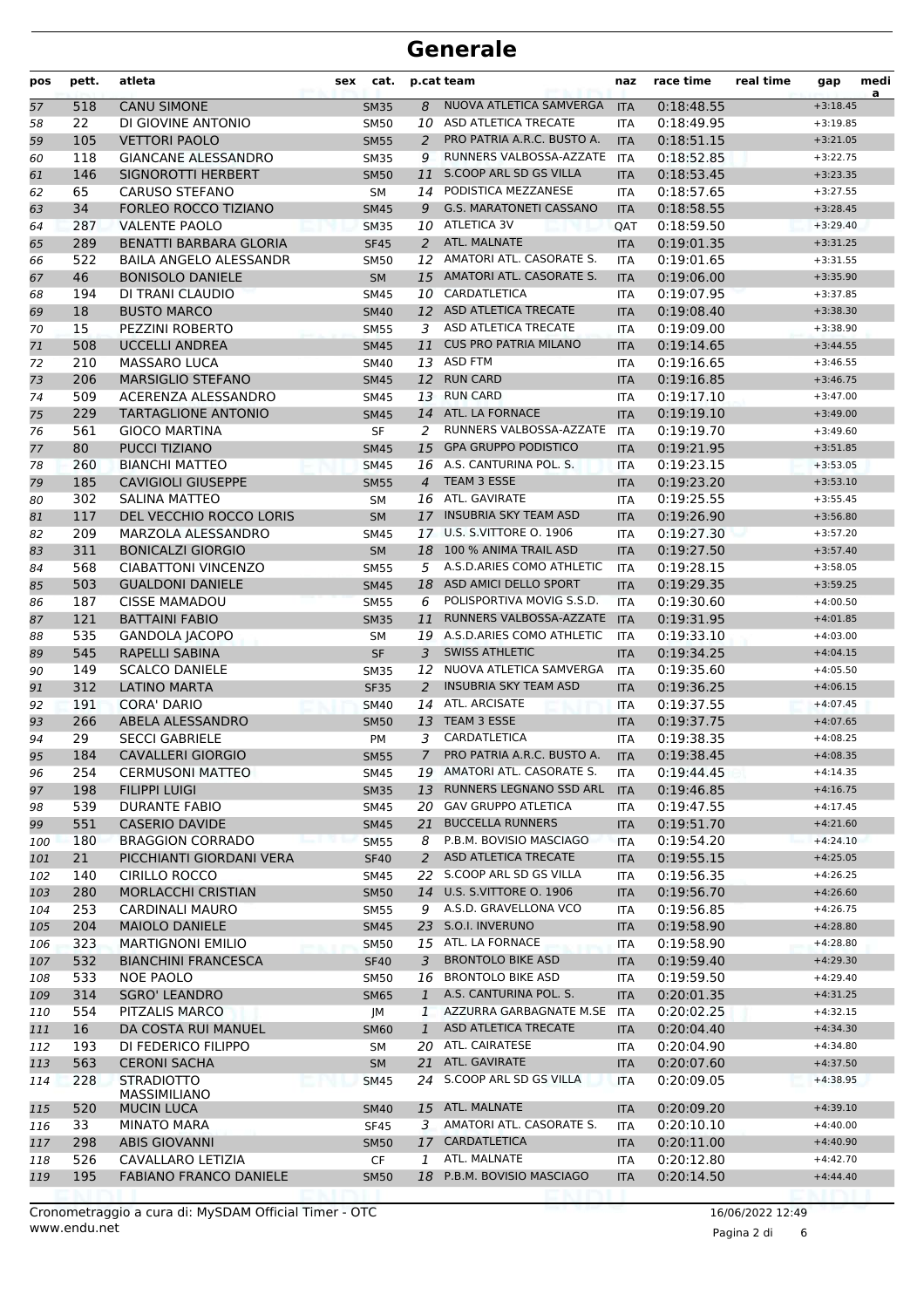| pos       | pett.      | atleta                                       | sex<br>cat.         |                | p.cat team                                       | naz                      | race time                | real time | gap                      | medi<br>a |
|-----------|------------|----------------------------------------------|---------------------|----------------|--------------------------------------------------|--------------------------|--------------------------|-----------|--------------------------|-----------|
| 57        | 518        | <b>CANU SIMONE</b>                           | <b>SM35</b>         | 8              | NUOVA ATLETICA SAMVERGA                          | <b>ITA</b>               | 0:18:48.55               |           | $+3:18.45$               |           |
| 58        | 22         | DI GIOVINE ANTONIO                           | <b>SM50</b>         | 10             | ASD ATLETICA TRECATE                             | <b>ITA</b>               | 0:18:49.95               |           | $+3:19.85$               |           |
| 59        | 105        | <b>VETTORI PAOLO</b>                         | <b>SM55</b>         | 2              | PRO PATRIA A.R.C. BUSTO A.                       | <b>ITA</b>               | 0:18:51.15               |           | $+3:21.05$               |           |
| 60        | 118        | <b>GIANCANE ALESSANDRO</b>                   | <b>SM35</b>         | 9              | RUNNERS VALBOSSA-AZZATE                          | <b>ITA</b>               | 0:18:52.85               |           | $+3:22.75$               |           |
| 61        | 146        | SIGNOROTTI HERBERT                           | <b>SM50</b>         | 11             | S.COOP ARL SD GS VILLA                           | <b>ITA</b>               | 0:18:53.45               |           | $+3:23.35$               |           |
| 62        | 65         | <b>CARUSO STEFANO</b>                        | <b>SM</b>           | 14             | PODISTICA MEZZANESE                              | ITA                      | 0:18:57.65               |           | $+3:27.55$               |           |
| 63        | 34         | <b>FORLEO ROCCO TIZIANO</b>                  | <b>SM45</b>         | 9              | <b>G.S. MARATONETI CASSANO</b>                   | <b>ITA</b>               | 0:18:58.55               |           | $+3:28.45$               |           |
| 64        | 287        | <b>VALENTE PAOLO</b>                         | <b>SM35</b>         |                | 10 ATLETICA 3V                                   | QAT                      | 0:18:59.50               |           | $+3:29.40$               |           |
| 65        | 289        | <b>BENATTI BARBARA GLORIA</b>                | <b>SF45</b>         | 2              | ATL. MALNATE                                     | <b>ITA</b>               | 0:19:01.35               |           | $+3:31.25$               |           |
| 66        | 522        | <b>BAILA ANGELO ALESSANDR</b>                | <b>SM50</b>         | 12             | AMATORI ATL. CASORATE S.                         | <b>ITA</b>               | 0:19:01.65               |           | $+3:31.55$               |           |
| 67        | 46         | <b>BONISOLO DANIELE</b>                      | <b>SM</b>           | 15             | AMATORI ATL. CASORATE S.                         | <b>ITA</b>               | 0:19:06.00               |           | $+3:35.90$               |           |
| 68        | 194        | DI TRANI CLAUDIO                             | <b>SM45</b>         | 10             | CARDATLETICA                                     | <b>ITA</b>               | 0:19:07.95               |           | $+3:37.85$               |           |
| 69        | 18         | <b>BUSTO MARCO</b>                           | <b>SM40</b>         | 12             | ASD ATLETICA TRECATE                             | <b>ITA</b>               | 0:19:08.40               |           | $+3:38.30$               |           |
| 70        | 15         | PEZZINI ROBERTO                              | <b>SM55</b>         | 3              | ASD ATLETICA TRECATE                             | <b>ITA</b>               | 0:19:09.00               |           | $+3:38.90$               |           |
| 71        | 508        | <b>UCCELLI ANDREA</b>                        | <b>SM45</b>         | 11             | <b>CUS PRO PATRIA MILANO</b>                     | <b>ITA</b>               | 0:19:14.65               |           | $+3:44.55$               |           |
| 72        | 210        | <b>MASSARO LUCA</b>                          | SM40                | 13             | <b>ASD FTM</b>                                   | <b>ITA</b>               | 0:19:16.65               |           | $+3:46.55$               |           |
| 73        | 206        | <b>MARSIGLIO STEFANO</b>                     | <b>SM45</b>         | 12             | <b>RUN CARD</b>                                  | <b>ITA</b>               | 0:19:16.85               |           | $+3:46.75$               |           |
| 74        | 509        | ACERENZA ALESSANDRO                          | <b>SM45</b>         |                | 13 RUN CARD                                      | <b>ITA</b>               | 0:19:17.10               |           | $+3:47.00$               |           |
| 75        | 229        | <b>TARTAGLIONE ANTONIO</b>                   | <b>SM45</b>         | 14             | ATL. LA FORNACE                                  | <b>ITA</b>               | 0:19:19.10               |           | $+3:49.00$               |           |
| 76        | 561        | <b>GIOCO MARTINA</b>                         | <b>SF</b>           | 2              | RUNNERS VALBOSSA-AZZATE                          | <b>ITA</b>               | 0:19:19.70               |           | $+3:49.60$               |           |
| 77        | 80         | <b>PUCCI TIZIANO</b>                         | <b>SM45</b>         | 15             | <b>GPA GRUPPO PODISTICO</b>                      | <b>ITA</b>               | 0:19:21.95               |           | $+3:51.85$               |           |
| 78        | 260        | <b>BIANCHI MATTEO</b>                        | <b>SM45</b>         | 16             | A.S. CANTURINA POL. S.                           | <b>ITA</b>               | 0:19:23.15               |           | $+3:53.05$               |           |
| 79        | 185        | <b>CAVIGIOLI GIUSEPPE</b>                    | <b>SM55</b>         | $\overline{4}$ | TEAM 3 ESSE                                      | <b>ITA</b>               | 0:19:23.20               |           | $+3:53.10$               |           |
| 80        | 302        | <b>SALINA MATTEO</b>                         | <b>SM</b>           | 16             | ATL. GAVIRATE                                    | <b>ITA</b>               | 0:19:25.55               |           | $+3:55.45$               |           |
| 81        | 117        | DEL VECCHIO ROCCO LORIS                      | <b>SM</b>           | 17             | <b>INSUBRIA SKY TEAM ASD</b>                     | <b>ITA</b>               | 0:19:26.90               |           | $+3:56.80$               |           |
| 82        | 209        | MARZOLA ALESSANDRO                           | <b>SM45</b>         | 17             | <b>U.S. S.VITTORE O. 1906</b>                    | <b>ITA</b>               | 0:19:27.30               |           | $+3:57.20$               |           |
| 83        | 311        | <b>BONICALZI GIORGIO</b>                     | <b>SM</b>           | 18             | 100 % ANIMA TRAIL ASD                            | <b>ITA</b>               | 0:19:27.50               |           | $+3:57.40$               |           |
| 84        | 568        | <b>CIABATTONI VINCENZO</b>                   | <b>SM55</b>         | 5              | A.S.D.ARIES COMO ATHLETIC                        | <b>ITA</b>               | 0:19:28.15               |           | $+3:58.05$               |           |
| 85        | 503        | <b>GUALDONI DANIELE</b>                      | <b>SM45</b>         | 18             | ASD AMICI DELLO SPORT                            | <b>ITA</b>               | 0:19:29.35               |           | $+3:59.25$               |           |
| 86        | 187        | <b>CISSE MAMADOU</b>                         | <b>SM55</b>         | 6              | POLISPORTIVA MOVIG S.S.D.                        | <b>ITA</b>               | 0:19:30.60               |           | $+4:00.50$               |           |
| 87        | 121        | <b>BATTAINI FABIO</b>                        | <b>SM35</b>         | 11             | RUNNERS VALBOSSA-AZZATE                          | <b>ITA</b>               | 0:19:31.95               |           | $+4:01.85$               |           |
| 88        | 535        | <b>GANDOLA JACOPO</b>                        | <b>SM</b>           |                | 19 A.S.D.ARIES COMO ATHLETIC                     | <b>ITA</b>               | 0:19:33.10               |           | $+4:03.00$               |           |
| 89        | 545        | <b>RAPELLI SABINA</b>                        | <b>SF</b>           | 3              | <b>SWISS ATHLETIC</b><br>NUOVA ATLETICA SAMVERGA | <b>ITA</b>               | 0:19:34.25               |           | $+4:04.15$               |           |
| 90        | 149        | <b>SCALCO DANIELE</b><br><b>LATINO MARTA</b> | <b>SM35</b>         | 12             | <b>INSUBRIA SKY TEAM ASD</b>                     | <b>ITA</b>               | 0:19:35.60               |           | $+4:05.50$               |           |
| 91        | 312        |                                              | <b>SF35</b>         | 2              | ATL. ARCISATE                                    | <b>ITA</b>               | 0:19:36.25               |           | $+4:06.15$<br>$+4:07.45$ |           |
| 92        | 191<br>266 | <b>CORA' DARIO</b><br>ABELA ALESSANDRO       | <b>SM40</b>         | 14<br>13       | TEAM 3 ESSE                                      | <b>ITA</b>               | 0:19:37.55<br>0:19:37.75 |           |                          |           |
| 93<br>94  | 29         | <b>SECCI GABRIELE</b>                        | <b>SM50</b><br>PM   | 3              | CARDATLETICA                                     | <b>ITA</b><br><b>ITA</b> | 0:19:38.35               |           | $+4:07.65$<br>$+4:08.25$ |           |
| 95        | 184        | <b>CAVALLERI GIORGIO</b>                     |                     | $\overline{7}$ | PRO PATRIA A.R.C. BUSTO A.                       | <b>ITA</b>               | 0:19:38.45               |           | $+4:08.35$               |           |
|           | 254        | <b>CERMUSONI MATTEO</b>                      | <b>SM55</b><br>SM45 |                | 19 AMATORI ATL. CASORATE S.                      | ITA                      | 0:19:44.45               |           | $+4:14.35$               |           |
| 96<br>97  | 198        | <b>FILIPPI LUIGI</b>                         | <b>SM35</b>         | 13             | RUNNERS LEGNANO SSD ARL                          | <b>ITA</b>               | 0:19:46.85               |           | $+4:16.75$               |           |
|           | 539        | <b>DURANTE FABIO</b>                         | SM45                | 20             | <b>GAV GRUPPO ATLETICA</b>                       | ITA                      | 0:19:47.55               |           | $+4:17.45$               |           |
| 98        | 551        | <b>CASERIO DAVIDE</b>                        | <b>SM45</b>         | 21             | <b>BUCCELLA RUNNERS</b>                          | <b>ITA</b>               | 0:19:51.70               |           | $+4:21.60$               |           |
| 99<br>100 | 180        | <b>BRAGGION CORRADO</b>                      | <b>SM55</b>         | 8              | P.B.M. BOVISIO MASCIAGO                          | <b>ITA</b>               | 0:19:54.20               |           | $+4:24.10$               |           |
| 101       | 21         | PICCHIANTI GIORDANI VERA                     | <b>SF40</b>         | $\overline{2}$ | ASD ATLETICA TRECATE                             | <b>ITA</b>               | 0:19:55.15               |           | $+4:25.05$               |           |
| 102       | 140        | <b>CIRILLO ROCCO</b>                         | SM45                | 22.            | S.COOP ARL SD GS VILLA                           | <b>ITA</b>               | 0:19:56.35               |           | $+4:26.25$               |           |
| 103       | 280        | MORLACCHI CRISTIAN                           | <b>SM50</b>         |                | 14 U.S. S.VITTORE O. 1906                        | <b>ITA</b>               | 0:19:56.70               |           | $+4:26.60$               |           |
| 104       | 253        | CARDINALI MAURO                              | <b>SM55</b>         | 9              | A.S.D. GRAVELLONA VCO                            | ITA                      | 0:19:56.85               |           | $+4:26.75$               |           |
| 105       | 204        | <b>MAIOLO DANIELE</b>                        | <b>SM45</b>         |                | 23 S.O.I. INVERUNO                               | <b>ITA</b>               | 0:19:58.90               |           | $+4:28.80$               |           |
| 106       | 323        | <b>MARTIGNONI EMILIO</b>                     | <b>SM50</b>         |                | 15 ATL. LA FORNACE                               | <b>ITA</b>               | 0:19:58.90               |           | $+4:28.80$               |           |
| 107       | 532        | <b>BIANCHINI FRANCESCA</b>                   | <b>SF40</b>         | 3              | <b>BRONTOLO BIKE ASD</b>                         | <b>ITA</b>               | 0:19:59.40               |           | $+4:29.30$               |           |
| 108       | 533        | NOE PAOLO                                    | <b>SM50</b>         | 16             | <b>BRONTOLO BIKE ASD</b>                         | <b>ITA</b>               | 0:19:59.50               |           | $+4:29.40$               |           |
| 109       | 314        | <b>SGRO' LEANDRO</b>                         | <b>SM65</b>         | $\mathbf{1}$   | A.S. CANTURINA POL. S.                           | <b>ITA</b>               | 0:20:01.35               |           | $+4:31.25$               |           |
| 110       | 554        | PITZALIS MARCO                               | JМ                  | $\mathbf{1}$   | AZZURRA GARBAGNATE M.SE                          | <b>ITA</b>               | 0:20:02.25               |           | $+4:32.15$               |           |
| 111       | 16         | DA COSTA RUI MANUEL                          | <b>SM60</b>         | $\mathbf{1}$   | ASD ATLETICA TRECATE                             | <b>ITA</b>               | 0:20:04.40               |           | $+4:34.30$               |           |
| 112       | 193        | DI FEDERICO FILIPPO                          | SM                  | 20             | ATL. CAIRATESE                                   | ITA                      | 0:20:04.90               |           | $+4:34.80$               |           |
| 113       | 563        | <b>CERONI SACHA</b>                          | <b>SM</b>           | 21             | ATL. GAVIRATE                                    | <b>ITA</b>               | 0:20:07.60               |           | $+4:37.50$               |           |
| 114       | 228        | <b>STRADIOTTO</b>                            | SM45                |                | 24 S.COOP ARL SD GS VILLA                        | <b>ITA</b>               | 0:20:09.05               |           | $+4:38.95$               |           |
|           |            | <b>MASSIMILIANO</b>                          |                     |                |                                                  |                          |                          |           |                          |           |
| 115       | 520        | <b>MUCIN LUCA</b>                            | <b>SM40</b>         |                | 15 ATL. MALNATE                                  | <b>ITA</b>               | 0:20:09.20               |           | $+4:39.10$               |           |
| 116       | 33         | <b>MINATO MARA</b>                           | <b>SF45</b>         | 3              | AMATORI ATL. CASORATE S.                         | ITA                      | 0:20:10.10               |           | $+4:40.00$               |           |
| 117       | 298        | <b>ABIS GIOVANNI</b>                         | <b>SM50</b>         |                | 17 CARDATLETICA                                  | <b>ITA</b>               | 0:20:11.00               |           | $+4:40.90$               |           |
| 118       | 526        | CAVALLARO LETIZIA                            | CF                  | 1              | ATL. MALNATE                                     | ITA                      | 0:20:12.80               |           | $+4:42.70$               |           |
| 119       | 195        | <b>FABIANO FRANCO DANIELE</b>                | <b>SM50</b>         | 18             | P.B.M. BOVISIO MASCIAGO                          | <b>ITA</b>               | 0:20:14.50               |           | $+4:44.40$               |           |
|           |            |                                              |                     |                |                                                  |                          |                          |           |                          |           |

Pagina 2 di 6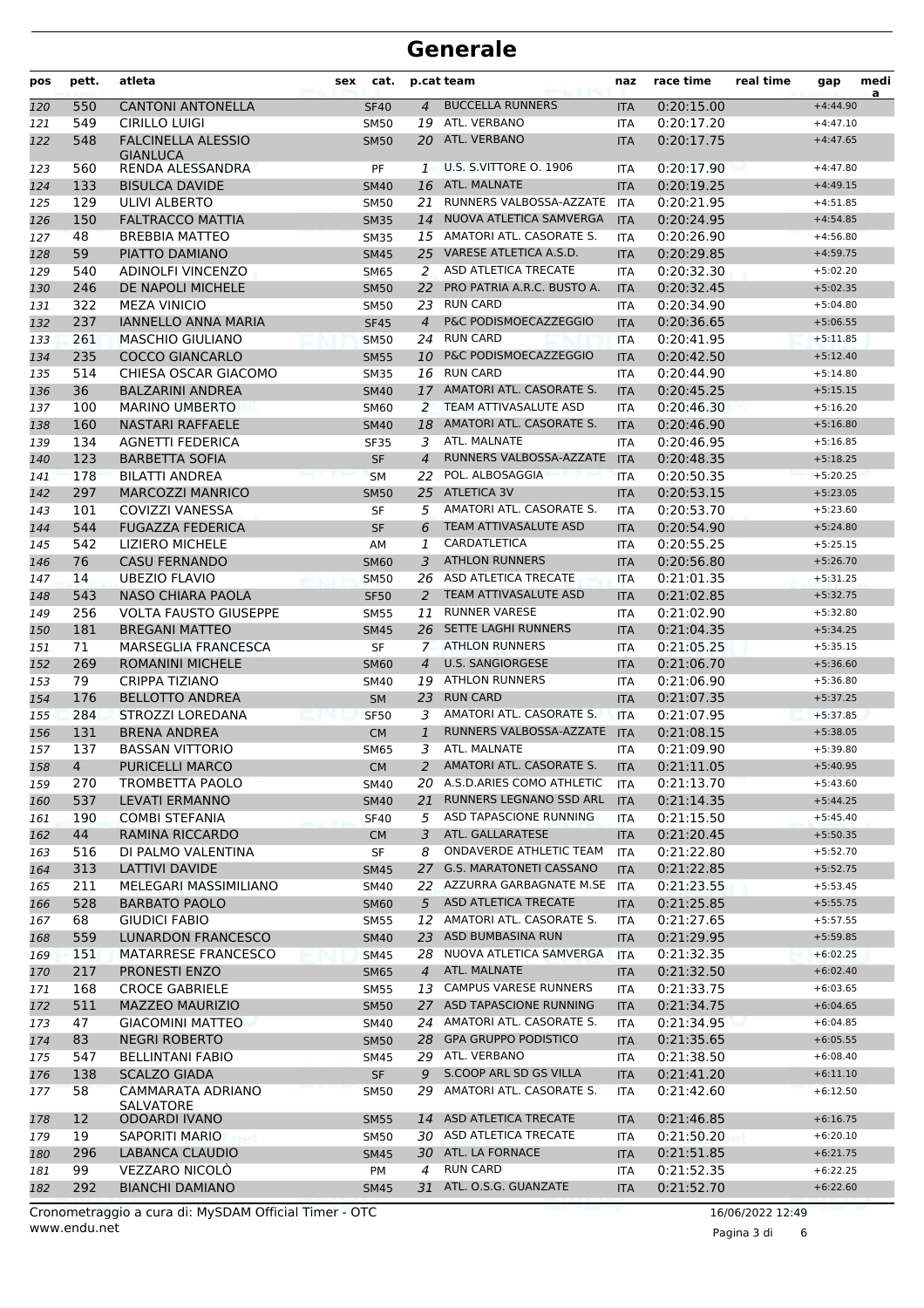| pos        | pett.      | atleta                                            | sex | cat.                       |                | p.cat team                                                | naz                      | race time                | real time | gap                      | medi |
|------------|------------|---------------------------------------------------|-----|----------------------------|----------------|-----------------------------------------------------------|--------------------------|--------------------------|-----------|--------------------------|------|
| 120        | 550        | <b>CANTONI ANTONELLA</b>                          |     | <b>SF40</b>                | $\overline{4}$ | <b>BUCCELLA RUNNERS</b>                                   | <b>ITA</b>               | 0:20:15.00               |           | $+4:44.90$               | a    |
| 121        | 549        | CIRILLO LUIGI                                     |     | <b>SM50</b>                | 19             | ATL. VERBANO                                              | <b>ITA</b>               | 0:20:17.20               |           | $+4:47.10$               |      |
| 122        | 548        | <b>FALCINELLA ALESSIO</b><br><b>GIANLUCA</b>      |     | <b>SM50</b>                | 20             | ATL. VERBANO                                              | <b>ITA</b>               | 0:20:17.75               |           | $+4:47.65$               |      |
| 123        | 560        | RENDA ALESSANDRA                                  |     | PF                         | 1              | <b>U.S. S.VITTORE O. 1906</b>                             | ITA                      | 0:20:17.90               |           | $+4:47.80$               |      |
| 124        | 133        | <b>BISULCA DAVIDE</b>                             |     | <b>SM40</b>                | 16             | ATL. MALNATE                                              | <b>ITA</b>               | 0:20:19.25               |           | $+4:49.15$               |      |
| 125        | 129        | ULIVI ALBERTO                                     |     | <b>SM50</b>                | 21             | RUNNERS VALBOSSA-AZZATE                                   | <b>ITA</b>               | 0:20:21.95               |           | $+4:51.85$               |      |
| 126        | 150        | <b>FALTRACCO MATTIA</b>                           |     | <b>SM35</b>                | 14             | NUOVA ATLETICA SAMVERGA                                   | <b>ITA</b>               | 0:20:24.95               |           | $+4:54.85$               |      |
| 127        | 48         | <b>BREBBIA MATTEO</b>                             |     | <b>SM35</b>                | 15             | AMATORI ATL. CASORATE S.                                  | <b>ITA</b>               | 0:20:26.90               |           | $+4:56.80$               |      |
| 128        | 59         | PIATTO DAMIANO                                    |     | <b>SM45</b>                | 25             | VARESE ATLETICA A.S.D.                                    | <b>ITA</b>               | 0:20:29.85               |           | $+4:59.75$               |      |
| 129        | 540        | <b>ADINOLFI VINCENZO</b>                          |     | <b>SM65</b>                | 2              | ASD ATLETICA TRECATE<br>PRO PATRIA A.R.C. BUSTO A.        | <b>ITA</b>               | 0:20:32.30               |           | $+5:02.20$               |      |
| 130        | 246        | DE NAPOLI MICHELE                                 |     | <b>SM50</b>                | 22             | <b>RUN CARD</b>                                           | <b>ITA</b>               | 0:20:32.45               |           | $+5:02.35$               |      |
| 131<br>132 | 322<br>237 | <b>MEZA VINICIO</b><br><b>IANNELLO ANNA MARIA</b> |     | <b>SM50</b><br><b>SF45</b> | 23<br>4        | P&C PODISMOECAZZEGGIO                                     | <b>ITA</b><br><b>ITA</b> | 0:20:34.90<br>0:20:36.65 |           | $+5:04.80$<br>$+5:06.55$ |      |
| 133        | 261        | <b>MASCHIO GIULIANO</b>                           |     | <b>SM50</b>                | 24             | <b>RUN CARD</b>                                           | <b>ITA</b>               | 0:20:41.95               |           | $+5:11.85$               |      |
| 134        | 235        | <b>COCCO GIANCARLO</b>                            |     | <b>SM55</b>                | 10             | P&C PODISMOECAZZEGGIO                                     | <b>ITA</b>               | 0:20:42.50               |           | $+5:12.40$               |      |
| 135        | 514        | CHIESA OSCAR GIACOMO                              |     | <b>SM35</b>                | 16             | <b>RUN CARD</b>                                           | <b>ITA</b>               | 0:20:44.90               |           | $+5:14.80$               |      |
| 136        | 36         | <b>BALZARINI ANDREA</b>                           |     | <b>SM40</b>                | 17             | AMATORI ATL. CASORATE S.                                  | <b>ITA</b>               | 0:20:45.25               |           | $+5:15.15$               |      |
| 137        | 100        | <b>MARINO UMBERTO</b>                             |     | SM60                       | 2              | TEAM ATTIVASALUTE ASD                                     | <b>ITA</b>               | 0:20:46.30               |           | $+5:16.20$               |      |
| 138        | 160        | <b>NASTARI RAFFAELE</b>                           |     | <b>SM40</b>                | 18             | AMATORI ATL. CASORATE S.                                  | <b>ITA</b>               | 0:20:46.90               |           | $+5:16.80$               |      |
| 139        | 134        | <b>AGNETTI FEDERICA</b>                           |     | <b>SF35</b>                | 3              | ATL. MALNATE                                              | <b>ITA</b>               | 0:20:46.95               |           | $+5:16.85$               |      |
| 140        | 123        | <b>BARBETTA SOFIA</b>                             |     | <b>SF</b>                  | $\overline{4}$ | RUNNERS VALBOSSA-AZZATE                                   | <b>ITA</b>               | 0:20:48.35               |           | $+5:18.25$               |      |
| 141        | 178        | <b>BILATTI ANDREA</b>                             |     | <b>SM</b>                  | 22             | POL. ALBOSAGGIA                                           | <b>ITA</b>               | 0:20:50.35               |           | $+5:20.25$               |      |
| 142        | 297        | <b>MARCOZZI MANRICO</b>                           |     | <b>SM50</b>                | 25             | <b>ATLETICA 3V</b>                                        | <b>ITA</b>               | 0:20:53.15               |           | $+5:23.05$               |      |
| 143        | 101        | <b>COVIZZI VANESSA</b>                            |     | <b>SF</b>                  | 5              | AMATORI ATL. CASORATE S.                                  | <b>ITA</b>               | 0:20:53.70               |           | $+5:23.60$               |      |
| 144        | 544        | <b>FUGAZZA FEDERICA</b>                           |     | <b>SF</b>                  | 6              | TEAM ATTIVASALUTE ASD                                     | <b>ITA</b>               | 0:20:54.90               |           | $+5:24.80$               |      |
| 145        | 542        | <b>LIZIERO MICHELE</b>                            |     | AM                         | 1              | <b>CARDATLETICA</b>                                       | <b>ITA</b>               | 0:20:55.25               |           | $+5:25.15$               |      |
| 146        | 76         | <b>CASU FERNANDO</b>                              |     | <b>SM60</b>                | 3              | <b>ATHLON RUNNERS</b>                                     | <b>ITA</b>               | 0:20:56.80               |           | $+5:26.70$               |      |
| 147        | 14         | <b>UBEZIO FLAVIO</b>                              |     | <b>SM50</b>                |                | 26 ASD ATLETICA TRECATE                                   | <b>ITA</b>               | 0:21:01.35               |           | $+5:31.25$               |      |
| 148        | 543        | <b>NASO CHIARA PAOLA</b>                          |     | <b>SF50</b>                | 2              | TEAM ATTIVASALUTE ASD                                     | <b>ITA</b>               | 0:21:02.85               |           | $+5:32.75$               |      |
| 149        | 256        | <b>VOLTA FAUSTO GIUSEPPE</b>                      |     | <b>SM55</b>                | 11             | <b>RUNNER VARESE</b>                                      | <b>ITA</b>               | 0:21:02.90               |           | $+5:32.80$               |      |
| 150        | 181        | <b>BREGANI MATTEO</b>                             |     | <b>SM45</b>                | 26             | <b>SETTE LAGHI RUNNERS</b>                                | <b>ITA</b>               | 0:21:04.35               |           | $+5:34.25$               |      |
| 151        | 71         | <b>MARSEGLIA FRANCESCA</b>                        |     | <b>SF</b>                  | 7              | <b>ATHLON RUNNERS</b>                                     | <b>ITA</b>               | 0:21:05.25               |           | $+5:35.15$               |      |
| 152        | 269        | <b>ROMANINI MICHELE</b>                           |     | <b>SM60</b>                | 4              | <b>U.S. SANGIORGESE</b>                                   | <b>ITA</b>               | 0:21:06.70               |           | $+5:36.60$               |      |
| 153        | 79         | <b>CRIPPA TIZIANO</b>                             |     | <b>SM40</b>                | 19             | <b>ATHLON RUNNERS</b>                                     | <b>ITA</b>               | 0:21:06.90               |           | $+5:36.80$               |      |
| 154        | 176        | <b>BELLOTTO ANDREA</b>                            |     | <b>SM</b>                  | 23             | <b>RUN CARD</b>                                           | <b>ITA</b>               | 0:21:07.35               |           | $+5:37.25$               |      |
| 155        | 284        | STROZZI LOREDANA                                  |     | <b>SF50</b>                | 3              | AMATORI ATL. CASORATE S.                                  | <b>ITA</b>               | 0:21:07.95               |           | $+5:37.85$               |      |
| 156        | 131        | <b>BRENA ANDREA</b>                               |     | <b>CM</b>                  | 1              | RUNNERS VALBOSSA-AZZATE                                   | <b>ITA</b>               | 0:21:08.15               |           | $+5:38.05$               |      |
| 157        | 137        | <b>BASSAN VITTORIO</b>                            |     | <b>SM65</b>                | 3              | ATL. MALNATE                                              | <b>ITA</b>               | 0:21:09.90               |           | $+5:39.80$               |      |
| 158        | 4          | <b>PURICELLI MARCO</b>                            |     | <b>CM</b>                  | 2              | AMATORI ATL. CASORATE S.                                  | <b>ITA</b>               | 0:21:11.05               |           | $+5:40.95$               |      |
| 159        | 270        | TROMBETTA PAOLO                                   |     | SM40                       |                | 20 A.S.D.ARIES COMO ATHLETIC                              | ITA                      | 0:21:13.70               |           | $+5:43.60$               |      |
| 160        | 537        | LEVATI ERMANNO                                    |     | <b>SM40</b>                | 21             | RUNNERS LEGNANO SSD ARL                                   | <b>ITA</b>               | 0:21:14.35               |           | $+5:44.25$               |      |
| 161        | 190        | <b>COMBI STEFANIA</b>                             |     | <b>SF40</b>                | 5              | ASD TAPASCIONE RUNNING                                    | ITA                      | 0:21:15.50               |           | $+5:45.40$               |      |
| 162        | 44         | RAMINA RICCARDO                                   |     | <b>CM</b>                  | 3              | ATL. GALLARATESE                                          | <b>ITA</b>               | 0:21:20.45               |           | $+5:50.35$               |      |
| 163        | 516        | DI PALMO VALENTINA                                |     | SF                         | 8              | ONDAVERDE ATHLETIC TEAM                                   | ITA                      | 0:21:22.80               |           | $+5:52.70$               |      |
| 164        | 313        | LATTIVI DAVIDE                                    |     | <b>SM45</b>                | 27             | G.S. MARATONETI CASSANO<br>22 AZZURRA GARBAGNATE M.SE ITA | <b>ITA</b>               | 0:21:22.85               |           | $+5:52.75$               |      |
| 165        | 211<br>528 | MELEGARI MASSIMILIANO<br><b>BARBATO PAOLO</b>     |     | <b>SM40</b>                | 5 <sup>1</sup> | ASD ATLETICA TRECATE                                      |                          | 0:21:23.55<br>0:21:25.85 |           | $+5:53.45$               |      |
| 166<br>167 | 68         | <b>GIUDICI FABIO</b>                              |     | <b>SM60</b><br><b>SM55</b> |                | 12 AMATORI ATL. CASORATE S.                               | <b>ITA</b><br><b>ITA</b> | 0:21:27.65               |           | $+5:55.75$<br>$+5:57.55$ |      |
| 168        | 559        | <b>LUNARDON FRANCESCO</b>                         |     | <b>SM40</b>                | 23             | ASD BUMBASINA RUN                                         | <b>ITA</b>               | 0:21:29.95               |           | $+5:59.85$               |      |
| 169        | 151        | <b>MATARRESE FRANCESCO</b>                        |     | <b>SM45</b>                |                | 28 NUOVA ATLETICA SAMVERGA                                | <b>ITA</b>               | 0:21:32.35               |           | $+6:02.25$               |      |
| 170        | 217        | PRONESTI ENZO                                     |     | <b>SM65</b>                | $\overline{4}$ | ATL. MALNATE                                              | <b>ITA</b>               | 0:21:32.50               |           | $+6:02.40$               |      |
| 171        | 168        | <b>CROCE GABRIELE</b>                             |     | <b>SM55</b>                | 13             | <b>CAMPUS VARESE RUNNERS</b>                              | ITA                      | 0:21:33.75               |           | $+6:03.65$               |      |
| 172        | 511        | <b>MAZZEO MAURIZIO</b>                            |     | <b>SM50</b>                |                | 27 ASD TAPASCIONE RUNNING                                 | <b>ITA</b>               | 0:21:34.75               |           | $+6:04.65$               |      |
| 173        | 47         | <b>GIACOMINI MATTEO</b>                           |     | SM40                       |                | 24 AMATORI ATL. CASORATE S.                               | ITA                      | 0:21:34.95               |           | $+6:04.85$               |      |
| 174        | 83         | <b>NEGRI ROBERTO</b>                              |     | <b>SM50</b>                | 28             | <b>GPA GRUPPO PODISTICO</b>                               | <b>ITA</b>               | 0:21:35.65               |           | $+6:05.55$               |      |
| 175        | 547        | <b>BELLINTANI FABIO</b>                           |     | SM45                       |                | 29 ATL. VERBANO                                           | ITA                      | 0:21:38.50               |           | $+6:08.40$               |      |
| 176        | 138        | <b>SCALZO GIADA</b>                               |     | <b>SF</b>                  | 9              | S.COOP ARL SD GS VILLA                                    | <b>ITA</b>               | 0:21:41.20               |           | $+6:11.10$               |      |
| 177        | 58         | CAMMARATA ADRIANO                                 |     | SM50                       | 29             | AMATORI ATL. CASORATE S.                                  | ITA                      | 0:21:42.60               |           | $+6:12.50$               |      |
|            |            | SALVATORE                                         |     |                            |                |                                                           |                          |                          |           |                          |      |
| 178        | 12         | ODOARDI IVANO                                     |     | <b>SM55</b>                |                | 14 ASD ATLETICA TRECATE                                   | <b>ITA</b>               | 0:21:46.85               |           | $+6:16.75$               |      |
| 179        | 19         | SAPORITI MARIO                                    |     | SM50                       |                | 30 ASD ATLETICA TRECATE                                   | <b>ITA</b>               | 0:21:50.20               |           | $+6:20.10$               |      |
| 180        | 296        | <b>LABANCA CLAUDIO</b>                            |     | <b>SM45</b>                |                | 30 ATL. LA FORNACE                                        | <b>ITA</b>               | 0:21:51.85               |           | $+6:21.75$               |      |
| 181        | 99         | VEZZARO NICOLÒ                                    |     | PM                         | 4              | <b>RUN CARD</b>                                           | ITA                      | 0:21:52.35               |           | $+6:22.25$               |      |
| 182        | 292        | <b>BIANCHI DAMIANO</b>                            |     | <b>SM45</b>                |                | 31 ATL. O.S.G. GUANZATE                                   | <b>ITA</b>               | 0:21:52.70               |           | $+6:22.60$               |      |

www.endu.net Cronometraggio a cura di: MySDAM Official Timer - OTC 16/06/2022 12:49

Pagina 3 di 6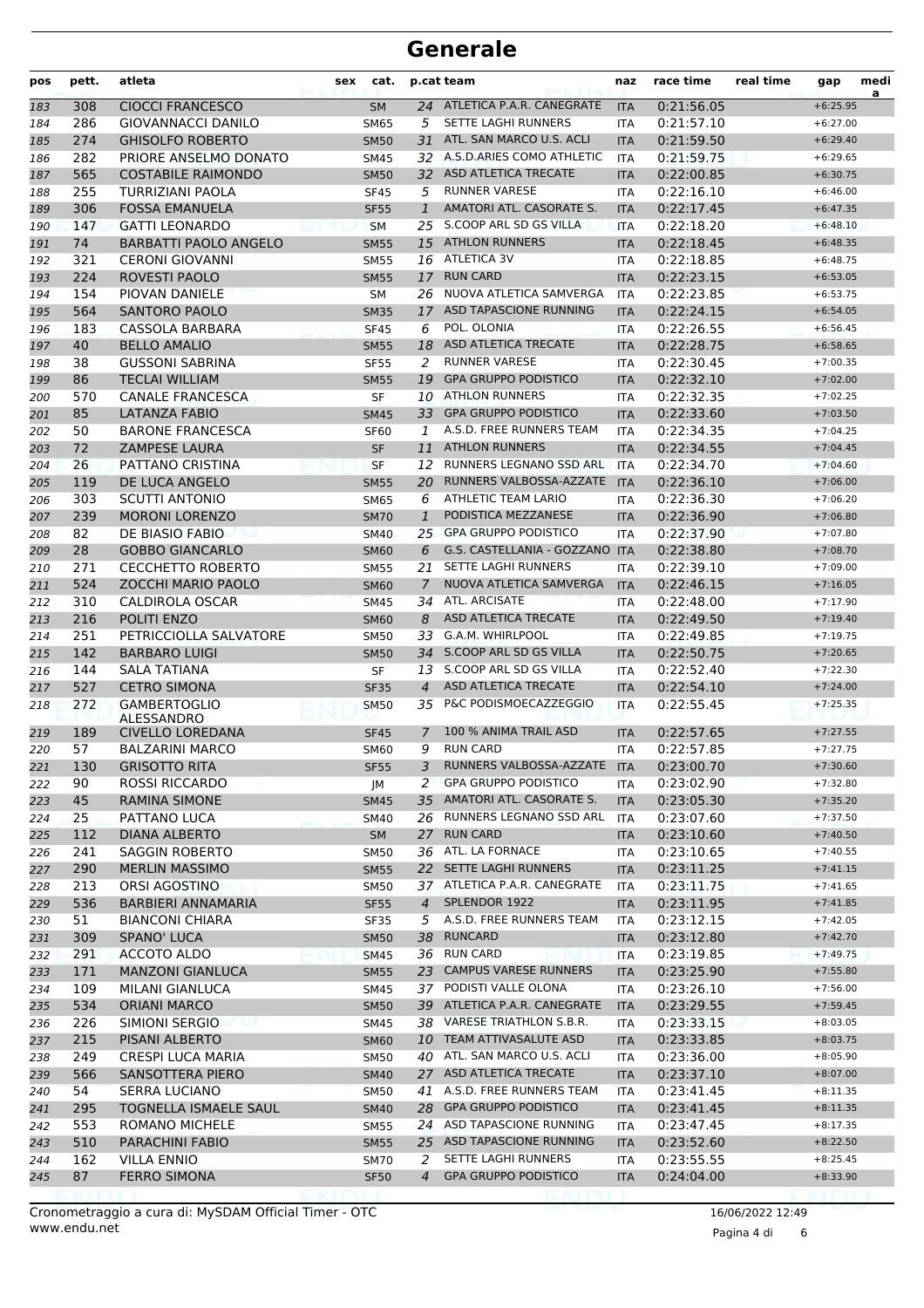| pos        | pett.     | atleta                                    | sex | cat.                       |                     | p.cat team                                              | naz                      | race time                | real time | gap                      | medi<br>a |
|------------|-----------|-------------------------------------------|-----|----------------------------|---------------------|---------------------------------------------------------|--------------------------|--------------------------|-----------|--------------------------|-----------|
| 183        | 308       | <b>CIOCCI FRANCESCO</b>                   |     | <b>SM</b>                  |                     | 24 ATLETICA P.A.R. CANEGRATE                            | <b>ITA</b>               | 0:21:56.05               |           | $+6:25.95$               |           |
| 184        | 286       | <b>GIOVANNACCI DANILO</b>                 |     | <b>SM65</b>                | 5                   | <b>SETTE LAGHI RUNNERS</b>                              | <b>ITA</b>               | 0:21:57.10               |           | $+6:27.00$               |           |
| 185        | 274       | <b>GHISOLFO ROBERTO</b>                   |     | <b>SM50</b>                | 31                  | ATL. SAN MARCO U.S. ACLI                                | <b>ITA</b>               | 0:21:59.50               |           | $+6:29.40$               |           |
| 186        | 282       | PRIORE ANSELMO DONATO                     |     | SM45                       |                     | 32 A.S.D.ARIES COMO ATHLETIC                            | <b>ITA</b>               | 0:21:59.75               |           | $+6:29.65$               |           |
| 187        | 565       | <b>COSTABILE RAIMONDO</b>                 |     | <b>SM50</b>                |                     | 32 ASD ATLETICA TRECATE                                 | <b>ITA</b>               | 0:22:00.85               |           | $+6:30.75$               |           |
| 188        | 255       | TURRIZIANI PAOLA                          |     | <b>SF45</b>                | 5                   | <b>RUNNER VARESE</b>                                    | <b>ITA</b>               | 0:22:16.10               |           | $+6:46.00$               |           |
| 189        | 306       | <b>FOSSA EMANUELA</b>                     |     | <b>SF55</b>                | $\mathbf{1}$        | AMATORI ATL. CASORATE S.                                | <b>ITA</b>               | 0:22:17.45               |           | $+6:47.35$               |           |
| 190        | 147       | <b>GATTI LEONARDO</b>                     |     | <b>SM</b>                  | 25                  | S.COOP ARL SD GS VILLA                                  | <b>ITA</b>               | 0:22:18.20               |           | $+6:48.10$               |           |
| 191        | 74        | <b>BARBATTI PAOLO ANGELO</b>              |     | <b>SM55</b>                | 15                  | <b>ATHLON RUNNERS</b>                                   | <b>ITA</b>               | 0:22:18.45               |           | $+6:48.35$               |           |
| 192        | 321       | <b>CERONI GIOVANNI</b>                    |     | <b>SM55</b>                |                     | 16 ATLETICA 3V                                          | <b>ITA</b>               | 0:22:18.85               |           | $+6:48.75$               |           |
| 193        | 224       | ROVESTI PAOLO                             |     | <b>SM55</b>                | 17                  | <b>RUN CARD</b>                                         | <b>ITA</b>               | 0:22:23.15               |           | $+6:53.05$               |           |
| 194        | 154       | PIOVAN DANIELE                            |     | SM                         |                     | 26 NUOVA ATLETICA SAMVERGA<br>17 ASD TAPASCIONE RUNNING | <b>ITA</b>               | 0:22:23.85               |           | $+6:53.75$               |           |
| 195        | 564       | <b>SANTORO PAOLO</b>                      |     | <b>SM35</b>                |                     | POL. OLONIA                                             | <b>ITA</b>               | 0:22:24.15               |           | $+6:54.05$               |           |
| 196        | 183<br>40 | CASSOLA BARBARA<br><b>BELLO AMALIO</b>    |     | <b>SF45</b>                | 6<br>18             | ASD ATLETICA TRECATE                                    | <b>ITA</b>               | 0:22:26.55<br>0:22:28.75 |           | $+6:56.45$<br>$+6:58.65$ |           |
| 197        | 38        | <b>GUSSONI SABRINA</b>                    |     | <b>SM55</b><br><b>SF55</b> | 2                   | <b>RUNNER VARESE</b>                                    | <b>ITA</b><br><b>ITA</b> | 0:22:30.45               |           | $+7:00.35$               |           |
| 198<br>199 | 86        | <b>TECLAI WILLIAM</b>                     |     | <b>SM55</b>                | 19                  | <b>GPA GRUPPO PODISTICO</b>                             | <b>ITA</b>               | 0:22:32.10               |           | $+7:02.00$               |           |
| 200        | 570       | <b>CANALE FRANCESCA</b>                   |     | <b>SF</b>                  |                     | 10 ATHLON RUNNERS                                       | <b>ITA</b>               | 0:22:32.35               |           | $+7:02.25$               |           |
| 201        | 85        | <b>LATANZA FABIO</b>                      |     | <b>SM45</b>                | 33                  | <b>GPA GRUPPO PODISTICO</b>                             | <b>ITA</b>               | 0:22:33.60               |           | $+7:03.50$               |           |
| 202        | 50        | <b>BARONE FRANCESCA</b>                   |     | <b>SF60</b>                | 1                   | A.S.D. FREE RUNNERS TEAM                                | ITA                      | 0:22:34.35               |           | $+7:04.25$               |           |
| 203        | 72        | <b>ZAMPESE LAURA</b>                      |     | <b>SF</b>                  | 11                  | <b>ATHLON RUNNERS</b>                                   | <b>ITA</b>               | 0:22:34.55               |           | $+7:04.45$               |           |
| 204        | 26        | PATTANO CRISTINA                          |     | <b>SF</b>                  | 12                  | RUNNERS LEGNANO SSD ARL                                 | <b>ITA</b>               | 0:22:34.70               |           | $+7:04.60$               |           |
| 205        | 119       | DE LUCA ANGELO                            |     | <b>SM55</b>                | 20                  | RUNNERS VALBOSSA-AZZATE                                 | <b>ITA</b>               | 0:22:36.10               |           | $+7:06.00$               |           |
| 206        | 303       | <b>SCUTTI ANTONIO</b>                     |     | <b>SM65</b>                | 6                   | ATHLETIC TEAM LARIO                                     | <b>ITA</b>               | 0:22:36.30               |           | $+7:06.20$               |           |
| 207        | 239       | <b>MORONI LORENZO</b>                     |     | <b>SM70</b>                | $\mathbf{1}$        | PODISTICA MEZZANESE                                     | <b>ITA</b>               | 0:22:36.90               |           | $+7:06.80$               |           |
| 208        | 82        | DE BIASIO FABIO                           |     | SM40                       |                     | 25 GPA GRUPPO PODISTICO                                 | ITA                      | 0:22:37.90               |           | $+7:07.80$               |           |
| 209        | 28        | <b>GOBBO GIANCARLO</b>                    |     | <b>SM60</b>                | 6                   | G.S. CASTELLANIA - GOZZANO                              | <b>ITA</b>               | 0:22:38.80               |           | $+7:08.70$               |           |
| 210        | 271       | <b>CECCHETTO ROBERTO</b>                  |     | <b>SM55</b>                | 21                  | SETTE LAGHI RUNNERS                                     | <b>ITA</b>               | 0:22:39.10               |           | $+7:09.00$               |           |
| 211        | 524       | <b>ZOCCHI MARIO PAOLO</b>                 |     | <b>SM60</b>                | 7                   | NUOVA ATLETICA SAMVERGA                                 | <b>ITA</b>               | 0:22:46.15               |           | $+7:16.05$               |           |
| 212        | 310       | CALDIROLA OSCAR                           |     | <b>SM45</b>                |                     | 34 ATL. ARCISATE                                        | <b>ITA</b>               | 0:22:48.00               |           | $+7:17.90$               |           |
| 213        | 216       | POLITI ENZO                               |     | <b>SM60</b>                | 8                   | ASD ATLETICA TRECATE                                    | <b>ITA</b>               | 0:22:49.50               |           | $+7:19.40$               |           |
| 214        | 251       | PETRICCIOLLA SALVATORE                    |     | <b>SM50</b>                | 33                  | G.A.M. WHIRLPOOL                                        | <b>ITA</b>               | 0:22:49.85               |           | $+7:19.75$               |           |
| 215        | 142       | <b>BARBARO LUIGI</b>                      |     | <b>SM50</b>                | 34                  | S.COOP ARL SD GS VILLA                                  | <b>ITA</b>               | 0:22:50.75               |           | $+7:20.65$               |           |
| 216        | 144       | <b>SALA TATIANA</b>                       |     | SF                         | 13                  | S.COOP ARL SD GS VILLA                                  | <b>ITA</b>               | 0:22:52.40               |           | $+7:22.30$               |           |
| 217        | 527       | <b>CETRO SIMONA</b>                       |     | <b>SF35</b>                | 4                   | <b>ASD ATLETICA TRECATE</b>                             | <b>ITA</b>               | 0:22:54.10               |           | $+7:24.00$               |           |
| 218        | 272       | <b>GAMBERTOGLIO</b><br><b>ALESSANDRO</b>  |     | <b>SM50</b>                | 35                  | P&C PODISMOECAZZEGGIO                                   | <b>ITA</b>               | 0:22:55.45               |           | $+7:25.35$               |           |
| 219        | 189       | <b>CIVELLO LOREDANA</b>                   |     | <b>SF45</b>                | 7                   | 100 % ANIMA TRAIL ASD                                   | <b>ITA</b>               | 0:22:57.65               |           | $+7:27.55$               |           |
| 220        | 57        | <b>BALZARINI MARCO</b>                    |     | <b>SM60</b>                | 9                   | <b>RUN CARD</b>                                         | <b>ITA</b>               | 0:22:57.85               |           | $+7:27.75$               |           |
| 221        | 130       | <b>GRISOTTO RITA</b>                      |     | <b>SF55</b>                |                     | 3 RUNNERS VALBOSSA-AZZATE ITA                           |                          | 0:23:00.70               |           | $+7:30.60$               |           |
| 222        | 90        | ROSSI RICCARDO                            |     | JM                         | 2                   | <b>GPA GRUPPO PODISTICO</b>                             | ITA                      | 0:23:02.90               |           | $+7:32.80$               |           |
| 223        | 45        | <b>RAMINA SIMONE</b>                      |     | <b>SM45</b>                | 35                  | AMATORI ATL. CASORATE S.                                | <b>ITA</b>               | 0:23:05.30               |           | $+7:35.20$               |           |
| 224        | 25        | PATTANO LUCA                              |     | <b>SM40</b>                |                     | 26 RUNNERS LEGNANO SSD ARL                              | ITA                      | 0:23:07.60               |           | $+7:37.50$               |           |
| 225        | 112       | <b>DIANA ALBERTO</b>                      |     | <b>SM</b>                  |                     | 27 RUN CARD                                             | <b>ITA</b>               | 0:23:10.60               |           | $+7:40.50$               |           |
| 226        | 241       | <b>SAGGIN ROBERTO</b>                     |     | <b>SM50</b>                |                     | 36 ATL. LA FORNACE                                      | ITA                      | 0:23:10.65               |           | $+7:40.55$               |           |
| 227        | 290       | <b>MERLIN MASSIMO</b>                     |     | <b>SM55</b>                |                     | 22 SETTE LAGHI RUNNERS                                  | <b>ITA</b>               | 0:23:11.25               |           | $+7:41.15$               |           |
| 228        | 213       | ORSI AGOSTINO                             |     | <b>SM50</b>                |                     | 37 ATLETICA P.A.R. CANEGRATE                            | ITA                      | 0:23:11.75               |           | $+7:41.65$               |           |
| 229        | 536       | <b>BARBIERI ANNAMARIA</b>                 |     | <b>SF55</b>                | $\overline{4}$      | SPLENDOR 1922                                           | <b>ITA</b>               | 0:23:11.95               |           | $+7:41.85$               |           |
| 230        | 51        | <b>BIANCONI CHIARA</b>                    |     | SF35                       | 5                   | A.S.D. FREE RUNNERS TEAM                                | <b>ITA</b>               | 0:23:12.15               |           | $+7:42.05$               |           |
| 231        | 309       | SPANO' LUCA                               |     | <b>SM50</b>                | 38                  | <b>RUNCARD</b>                                          | <b>ITA</b>               | 0:23:12.80               |           | $+7:42.70$               |           |
| 232        | 291       | ACCOTO ALDO                               |     | SM45                       |                     | 36 RUN CARD                                             | ITA                      | 0:23:19.85               |           | $+7:49.75$               |           |
| 233        | 171       | <b>MANZONI GIANLUCA</b>                   |     | <b>SM55</b>                |                     | 23 CAMPUS VARESE RUNNERS                                | <b>ITA</b>               | 0:23:25.90               |           | $+7:55.80$               |           |
| 234        | 109       | MILANI GIANLUCA                           |     | SM45                       |                     | 37 PODISTI VALLE OLONA                                  | ITA                      | 0:23:26.10               |           | $+7:56.00$               |           |
| 235        | 534       | <b>ORIANI MARCO</b>                       |     | <b>SM50</b>                |                     | 39 ATLETICA P.A.R. CANEGRATE                            | <b>ITA</b>               | 0:23:29.55               |           | $+7:59.45$               |           |
| 236        | 226       | SIMIONI SERGIO                            |     | SM45                       |                     | 38 VARESE TRIATHLON S.B.R.                              | <b>ITA</b>               | 0:23:33.15               |           | $+8:03.05$               |           |
| 237        | 215       | PISANI ALBERTO                            |     | <b>SM60</b>                |                     | 10 TEAM ATTIVASALUTE ASD                                | <b>ITA</b>               | 0:23:33.85               |           | $+8:03.75$               |           |
| 238        | 249       | <b>CRESPI LUCA MARIA</b>                  |     | <b>SM50</b>                |                     | 40 ATL. SAN MARCO U.S. ACLI                             | ITA                      | 0:23:36.00               |           | $+8:05.90$               |           |
| 239        | 566       | SANSOTTERA PIERO                          |     | <b>SM40</b>                |                     | 27 ASD ATLETICA TRECATE                                 | <b>ITA</b>               | 0:23:37.10               |           | $+8:07.00$               |           |
| 240        | 54        | SERRA LUCIANO                             |     | <b>SM50</b>                |                     | 41 A.S.D. FREE RUNNERS TEAM                             | ITA                      | 0:23:41.45               |           | $+8:11.35$               |           |
| 241        | 295       | TOGNELLA ISMAELE SAUL                     |     | <b>SM40</b>                |                     | 28 GPA GRUPPO PODISTICO                                 | <b>ITA</b>               | 0:23:41.45               |           | $+8:11.35$               |           |
| 242        | 553       | ROMANO MICHELE                            |     | SM55                       |                     | 24 ASD TAPASCIONE RUNNING                               | <b>ITA</b>               | 0:23:47.45               |           | $+8:17.35$               |           |
| 243        | 510       | PARACHINI FABIO                           |     | <b>SM55</b>                |                     | 25 ASD TAPASCIONE RUNNING<br>SETTE LAGHI RUNNERS        | <b>ITA</b>               | 0:23:52.60               |           | $+8:22.50$               |           |
| 244        | 162<br>87 | <b>VILLA ENNIO</b><br><b>FERRO SIMONA</b> |     | <b>SM70</b>                | 2<br>$\overline{4}$ | <b>GPA GRUPPO PODISTICO</b>                             | ITA                      | 0:23:55.55<br>0:24:04.00 |           | $+8:25.45$<br>$+8:33.90$ |           |
| 245        |           |                                           |     | <b>SF50</b>                |                     |                                                         | <b>ITA</b>               |                          |           |                          |           |

Pagina 4 di 6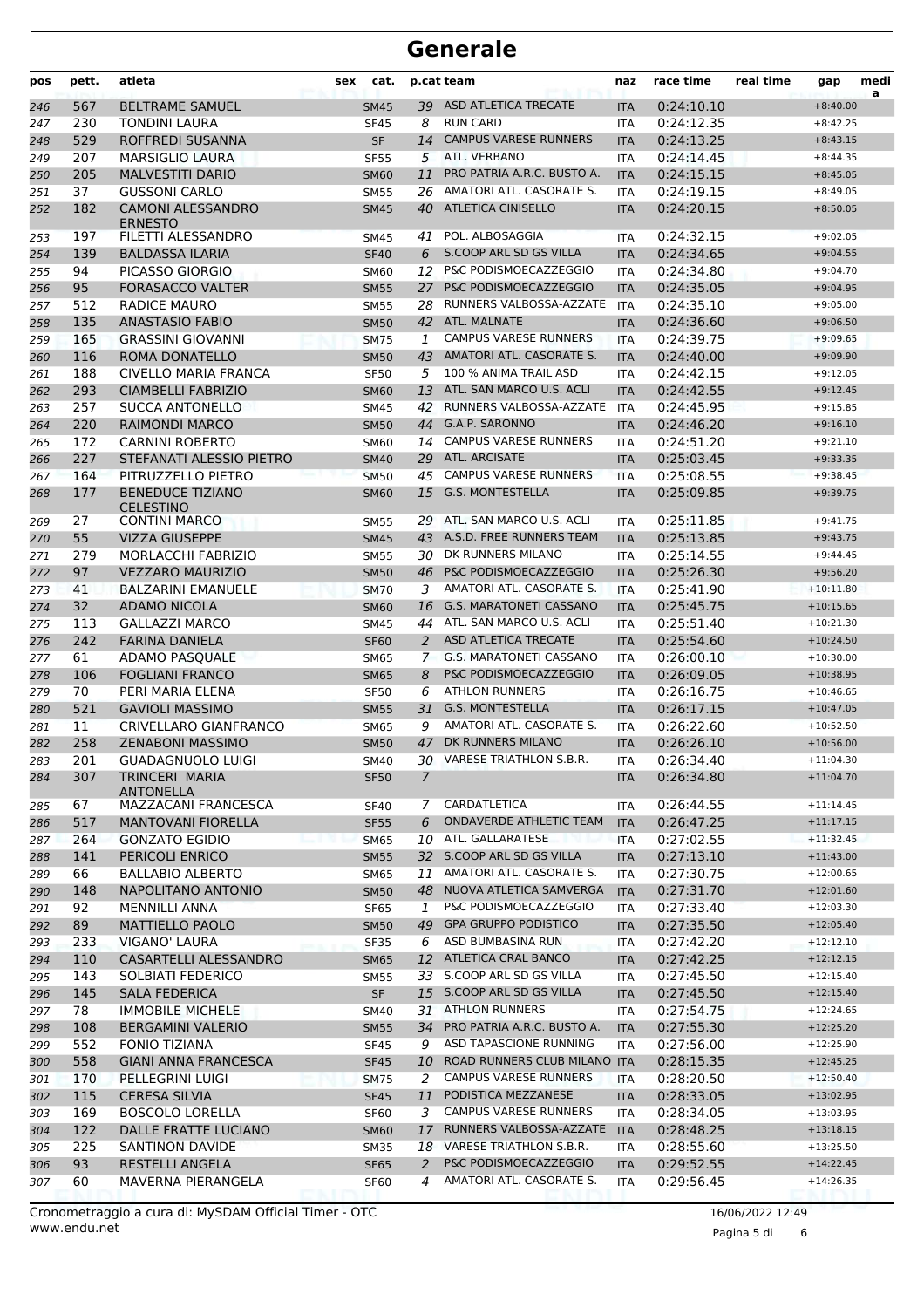| pos | pett. | atleta                                      | cat.<br><b>sex</b> |               | p.cat team                     | naz        | race time  | real time | gap         | medi<br>a |
|-----|-------|---------------------------------------------|--------------------|---------------|--------------------------------|------------|------------|-----------|-------------|-----------|
| 246 | 567   | <b>BELTRAME SAMUEL</b>                      | <b>SM45</b>        |               | 39 ASD ATLETICA TRECATE        | <b>ITA</b> | 0:24:10.10 |           | $+8:40.00$  |           |
| 247 | 230   | <b>TONDINI LAURA</b>                        | <b>SF45</b>        | 8             | <b>RUN CARD</b>                | <b>ITA</b> | 0:24:12.35 |           | $+8:42.25$  |           |
| 248 | 529   | ROFFREDI SUSANNA                            | <b>SF</b>          | 14            | <b>CAMPUS VARESE RUNNERS</b>   | <b>ITA</b> | 0:24:13.25 |           | $+8:43.15$  |           |
| 249 | 207   | <b>MARSIGLIO LAURA</b>                      | <b>SF55</b>        | 5             | ATL. VERBANO                   | <b>ITA</b> | 0:24:14.45 |           | $+8:44.35$  |           |
| 250 | 205   | <b>MALVESTITI DARIO</b>                     | <b>SM60</b>        | 11            | PRO PATRIA A.R.C. BUSTO A.     | <b>ITA</b> | 0:24:15.15 |           | $+8:45.05$  |           |
| 251 | 37    | <b>GUSSONI CARLO</b>                        | <b>SM55</b>        |               | 26 AMATORI ATL. CASORATE S.    | <b>ITA</b> | 0:24:19.15 |           | $+8:49.05$  |           |
| 252 | 182   | <b>CAMONI ALESSANDRO</b><br><b>ERNESTO</b>  | <b>SM45</b>        | 40            | ATLETICA CINISELLO             | <b>ITA</b> | 0:24:20.15 |           | $+8:50.05$  |           |
| 253 | 197   | FILETTI ALESSANDRO                          | SM45               | 41            | POL. ALBOSAGGIA                | ITA        | 0:24:32.15 |           | $+9:02.05$  |           |
| 254 | 139   | <b>BALDASSA ILARIA</b>                      | <b>SF40</b>        | 6             | S.COOP ARL SD GS VILLA         | <b>ITA</b> | 0:24:34.65 |           | $+9:04.55$  |           |
| 255 | 94    | PICASSO GIORGIO                             | <b>SM60</b>        | 12            | P&C PODISMOECAZZEGGIO          | <b>ITA</b> | 0:24:34.80 |           | $+9:04.70$  |           |
| 256 | 95    | <b>FORASACCO VALTER</b>                     | <b>SM55</b>        | 27            | P&C PODISMOECAZZEGGIO          | <b>ITA</b> | 0:24:35.05 |           | $+9:04.95$  |           |
| 257 | 512   | RADICE MAURO                                | <b>SM55</b>        | 28            | RUNNERS VALBOSSA-AZZATE        | <b>ITA</b> | 0:24:35.10 |           | $+9:05.00$  |           |
| 258 | 135   | <b>ANASTASIO FABIO</b>                      | <b>SM50</b>        |               | 42 ATL. MALNATE                | <b>ITA</b> | 0:24:36.60 |           | $+9:06.50$  |           |
| 259 | 165   | <b>GRASSINI GIOVANNI</b>                    | <b>SM75</b>        | 1             | <b>CAMPUS VARESE RUNNERS</b>   | <b>ITA</b> | 0:24:39.75 |           | $+9:09.65$  |           |
| 260 | 116   | ROMA DONATELLO                              | <b>SM50</b>        |               | 43 AMATORI ATL. CASORATE S.    | <b>ITA</b> | 0:24:40.00 |           | $+9:09.90$  |           |
| 261 | 188   | <b>CIVELLO MARIA FRANCA</b>                 | <b>SF50</b>        | 5             | 100 % ANIMA TRAIL ASD          | <b>ITA</b> | 0:24:42.15 |           | $+9:12.05$  |           |
| 262 | 293   | <b>CIAMBELLI FABRIZIO</b>                   | <b>SM60</b>        | 13            | ATL. SAN MARCO U.S. ACLI       | <b>ITA</b> | 0:24:42.55 |           | $+9:12.45$  |           |
| 263 | 257   | <b>SUCCA ANTONELLO</b>                      | <b>SM45</b>        | 42            | RUNNERS VALBOSSA-AZZATE        | <b>ITA</b> | 0:24:45.95 |           | $+9:15.85$  |           |
| 264 | 220   | <b>RAIMONDI MARCO</b>                       | <b>SM50</b>        | 44            | G.A.P. SARONNO                 | <b>ITA</b> | 0:24:46.20 |           | $+9:16.10$  |           |
| 265 | 172   | <b>CARNINI ROBERTO</b>                      | <b>SM60</b>        | 14            | <b>CAMPUS VARESE RUNNERS</b>   | <b>ITA</b> | 0:24:51.20 |           | $+9:21.10$  |           |
| 266 | 227   | STEFANATI ALESSIO PIETRO                    | <b>SM40</b>        |               | 29 ATL. ARCISATE               | <b>ITA</b> | 0:25:03.45 |           | $+9:33.35$  |           |
| 267 | 164   | PITRUZZELLO PIETRO                          | <b>SM50</b>        | 45            | <b>CAMPUS VARESE RUNNERS</b>   | <b>ITA</b> | 0:25:08.55 |           | $+9:38.45$  |           |
| 268 | 177   | <b>BENEDUCE TIZIANO</b><br><b>CELESTINO</b> | <b>SM60</b>        | 15            | <b>G.S. MONTESTELLA</b>        | <b>ITA</b> | 0:25:09.85 |           | $+9:39.75$  |           |
| 269 | 27    | <b>CONTINI MARCO</b>                        | <b>SM55</b>        | 29            | ATL. SAN MARCO U.S. ACLI       | <b>ITA</b> | 0:25:11.85 |           | $+9:41.75$  |           |
| 270 | 55    | <b>VIZZA GIUSEPPE</b>                       | <b>SM45</b>        |               | 43 A.S.D. FREE RUNNERS TEAM    | <b>ITA</b> | 0:25:13.85 |           | $+9:43.75$  |           |
| 271 | 279   | <b>MORLACCHI FABRIZIO</b>                   | <b>SM55</b>        | 30            | DK RUNNERS MILANO              | <b>ITA</b> | 0:25:14.55 |           | $+9:44.45$  |           |
| 272 | 97    | <b>VEZZARO MAURIZIO</b>                     | <b>SM50</b>        | 46            | P&C PODISMOECAZZEGGIO          | <b>ITA</b> | 0:25:26.30 |           | $+9:56.20$  |           |
| 273 | 41    | <b>BALZARINI EMANUELE</b>                   | <b>SM70</b>        | 3             | AMATORI ATL. CASORATE S.       | <b>ITA</b> | 0:25:41.90 |           | $+10:11.80$ |           |
| 274 | 32    | <b>ADAMO NICOLA</b>                         | <b>SM60</b>        | 16            | <b>G.S. MARATONETI CASSANO</b> | <b>ITA</b> | 0:25:45.75 |           | $+10:15.65$ |           |
| 275 | 113   | <b>GALLAZZI MARCO</b>                       | <b>SM45</b>        | 44            | ATL. SAN MARCO U.S. ACLI       | <b>ITA</b> | 0:25:51.40 |           | $+10:21.30$ |           |
| 276 | 242   | <b>FARINA DANIELA</b>                       | <b>SF60</b>        | 2             | <b>ASD ATLETICA TRECATE</b>    | <b>ITA</b> | 0:25:54.60 |           | $+10:24.50$ |           |
| 277 | 61    | ADAMO PASQUALE                              | <b>SM65</b>        | $\mathcal{I}$ | <b>G.S. MARATONETI CASSANO</b> | <b>ITA</b> | 0:26:00.10 |           | $+10:30.00$ |           |
| 278 | 106   | <b>FOGLIANI FRANCO</b>                      | <b>SM65</b>        | 8             | P&C PODISMOECAZZEGGIO          | <b>ITA</b> | 0:26:09.05 |           | $+10:38.95$ |           |
| 279 | 70    | PERI MARIA ELENA                            | <b>SF50</b>        | 6             | <b>ATHLON RUNNERS</b>          | <b>ITA</b> | 0:26:16.75 |           | $+10:46.65$ |           |
| 280 | 521   | <b>GAVIOLI MASSIMO</b>                      | <b>SM55</b>        | 31            | <b>G.S. MONTESTELLA</b>        | <b>ITA</b> | 0:26:17.15 |           | $+10:47.05$ |           |
| 281 | 11    | CRIVELLARO GIANFRANCO                       | <b>SM65</b>        | 9             | AMATORI ATL. CASORATE S.       | <b>ITA</b> | 0:26:22.60 |           | $+10:52.50$ |           |
| 282 | 258   | <b>ZENABONI MASSIMO</b>                     | <b>SM50</b>        | 47            | DK RUNNERS MILANO              | <b>ITA</b> | 0:26:26.10 |           | $+10:56.00$ |           |
| 283 | 201   | <b>GUADAGNUOLO LUIGI</b>                    | SM40               |               | 30 VARESE TRIATHLON S.B.R.     | ITA        | 0:26:34.40 |           | $+11:04.30$ |           |
| 284 | 307   | TRINCERI MARIA<br><b>ANTONELLA</b>          | <b>SF50</b>        | 7             |                                | <b>ITA</b> | 0:26:34.80 |           | $+11:04.70$ |           |
| 285 | 67    | MAZZACANI FRANCESCA                         | <b>SF40</b>        | 7             | CARDATLETICA                   | ITA        | 0:26:44.55 |           | $+11:14.45$ |           |
| 286 | 517   | <b>MANTOVANI FIORELLA</b>                   | <b>SF55</b>        | 6             | <b>ONDAVERDE ATHLETIC TEAM</b> | <b>ITA</b> | 0:26:47.25 |           | $+11:17.15$ |           |
| 287 | 264   | <b>GONZATO EGIDIO</b>                       | <b>SM65</b>        |               | 10 ATL. GALLARATESE            | ITA        | 0:27:02.55 |           | $+11:32.45$ |           |
| 288 | 141   | <b>PERICOLI ENRICO</b>                      | <b>SM55</b>        |               | 32 S.COOP ARL SD GS VILLA      | <b>ITA</b> | 0:27:13.10 |           | $+11:43.00$ |           |
| 289 | 66    | <b>BALLABIO ALBERTO</b>                     | SM65               | 11            | AMATORI ATL. CASORATE S.       | <b>ITA</b> | 0:27:30.75 |           | $+12:00.65$ |           |
| 290 | 148   | NAPOLITANO ANTONIO                          | <b>SM50</b>        | 48            | NUOVA ATLETICA SAMVERGA        | <b>ITA</b> | 0:27:31.70 |           | $+12:01.60$ |           |
| 291 | 92    | <b>MENNILLI ANNA</b>                        | SF65               | 1             | P&C PODISMOECAZZEGGIO          | <b>ITA</b> | 0:27:33.40 |           | $+12:03.30$ |           |
| 292 | 89    | <b>MATTIELLO PAOLO</b>                      | <b>SM50</b>        | 49            | <b>GPA GRUPPO PODISTICO</b>    | <b>ITA</b> | 0:27:35.50 |           | $+12:05.40$ |           |
| 293 | 233   | VIGANO' LAURA                               | <b>SF35</b>        | 6             | ASD BUMBASINA RUN              | ITA        | 0:27:42.20 |           | $+12:12.10$ |           |
| 294 | 110   | CASARTELLI ALESSANDRO                       | <b>SM65</b>        | 12            | ATLETICA CRAL BANCO            | <b>ITA</b> | 0:27:42.25 |           | $+12:12.15$ |           |
| 295 | 143   | SOLBIATI FEDERICO                           | SM55               |               | 33 S.COOP ARL SD GS VILLA      | <b>ITA</b> | 0:27:45.50 |           | $+12:15.40$ |           |
| 296 | 145   | <b>SALA FEDERICA</b>                        | <b>SF</b>          |               | 15 S.COOP ARL SD GS VILLA      | <b>ITA</b> | 0:27:45.50 |           | $+12:15.40$ |           |
| 297 | 78    | <b>IMMOBILE MICHELE</b>                     | SM40               |               | 31 ATHLON RUNNERS              | ITA        | 0:27:54.75 |           | $+12:24.65$ |           |
| 298 | 108   | <b>BERGAMINI VALERIO</b>                    | <b>SM55</b>        | 34            | PRO PATRIA A.R.C. BUSTO A.     | <b>ITA</b> | 0:27:55.30 |           | $+12:25.20$ |           |
| 299 | 552   | <b>FONIO TIZIANA</b>                        | <b>SF45</b>        | 9             | ASD TAPASCIONE RUNNING         | ITA        | 0:27:56.00 |           | $+12:25.90$ |           |
| 300 | 558   | <b>GIANI ANNA FRANCESCA</b>                 | <b>SF45</b>        | 10            | ROAD RUNNERS CLUB MILANO ITA   |            | 0:28:15.35 |           | $+12:45.25$ |           |
| 301 | 170   | PELLEGRINI LUIGI                            | <b>SM75</b>        | 2             | <b>CAMPUS VARESE RUNNERS</b>   | <b>ITA</b> | 0:28:20.50 |           | $+12:50.40$ |           |
| 302 | 115   | <b>CERESA SILVIA</b>                        | <b>SF45</b>        | 11            | PODISTICA MEZZANESE            | <b>ITA</b> | 0:28:33.05 |           | $+13:02.95$ |           |
| 303 | 169   | <b>BOSCOLO LORELLA</b>                      | SF60               | 3             | <b>CAMPUS VARESE RUNNERS</b>   | ITA        | 0:28:34.05 |           | $+13:03.95$ |           |
| 304 | 122   | DALLE FRATTE LUCIANO                        | <b>SM60</b>        | 17            | RUNNERS VALBOSSA-AZZATE ITA    |            | 0:28:48.25 |           | $+13:18.15$ |           |
| 305 | 225   | <b>SANTINON DAVIDE</b>                      | <b>SM35</b>        |               | 18 VARESE TRIATHLON S.B.R.     | ITA        | 0:28:55.60 |           | $+13:25.50$ |           |
| 306 | 93    | <b>RESTELLI ANGELA</b>                      | <b>SF65</b>        | 2             | P&C PODISMOECAZZEGGIO          | <b>ITA</b> | 0:29:52.55 |           | $+14:22.45$ |           |
| 307 | 60    | MAVERNA PIERANGELA                          | SF60               | 4             | AMATORI ATL. CASORATE S.       | ITA        | 0:29:56.45 |           | $+14:26.35$ |           |

Pagina 5 di 6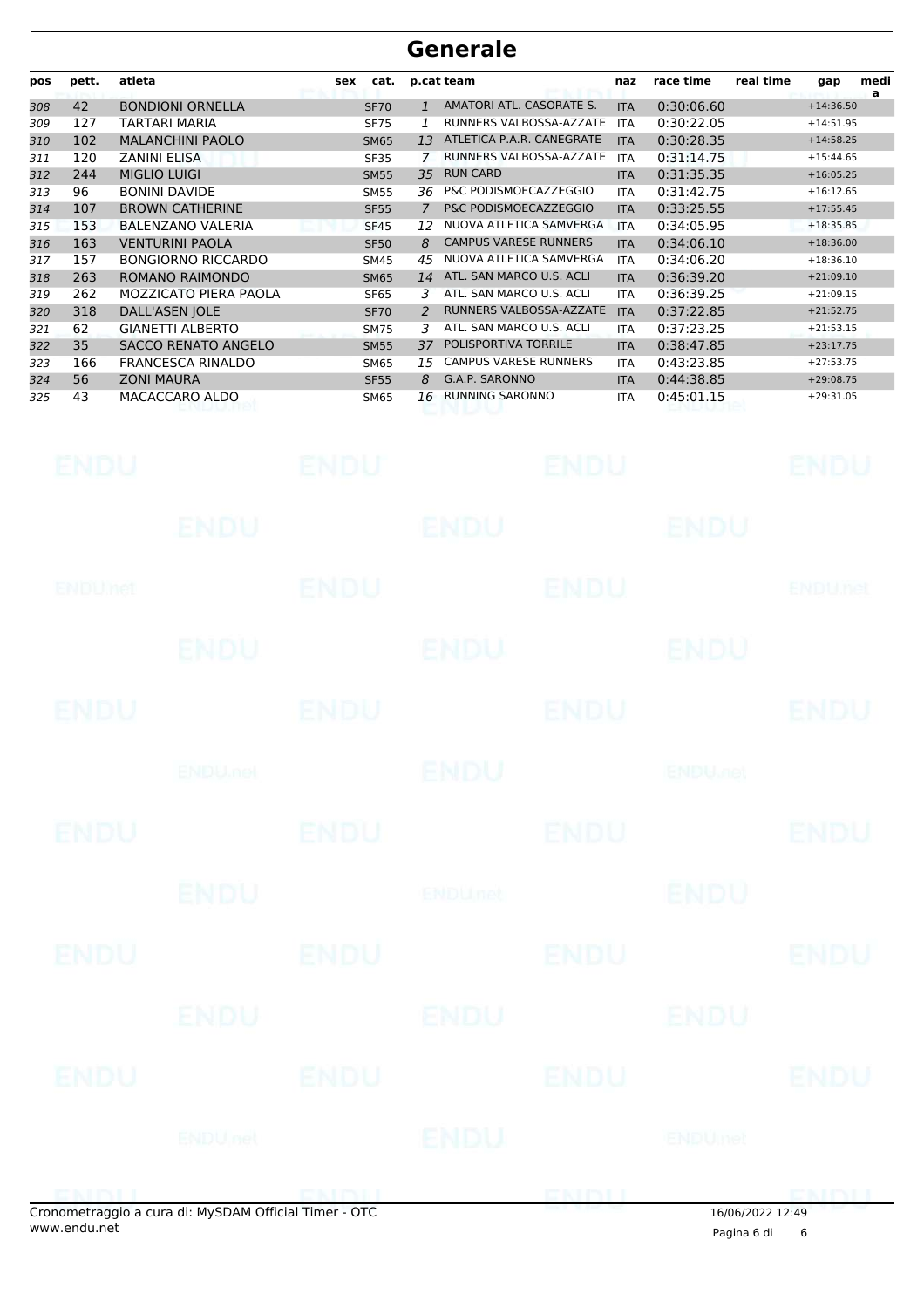| pos | pett. | atleta                     | cat.<br>sex      |                | p.cat team                   | naz        | race time  | real time | medi<br>gap<br>a |  |
|-----|-------|----------------------------|------------------|----------------|------------------------------|------------|------------|-----------|------------------|--|
| 308 | 42    | <b>BONDIONI ORNELLA</b>    | <b>SF70</b>      | $\mathbf{1}$   | AMATORI ATL. CASORATE S.     | <b>ITA</b> | 0:30:06.60 |           | $+14:36.50$      |  |
| 309 | 127   | TARTARI MARIA              | <b>SF75</b>      |                | RUNNERS VALBOSSA-AZZATE      | <b>ITA</b> | 0:30:22.05 |           | $+14:51.95$      |  |
| 310 | 102   | <b>MALANCHINI PAOLO</b>    | <b>SM65</b>      | 13             | ATLETICA P.A.R. CANEGRATE    | <b>ITA</b> | 0:30:28.35 |           | $+14:58.25$      |  |
| 311 | 120   | <b>ZANINI ELISA</b>        | SF35             | 7              | RUNNERS VALBOSSA-AZZATE      | <b>ITA</b> | 0:31:14.75 |           | $+15:44.65$      |  |
| 312 | 244   | <b>MIGLIO LUIGI</b>        | <b>SM55</b>      | 35             | <b>RUN CARD</b>              | <b>ITA</b> | 0:31:35.35 |           | $+16:05.25$      |  |
| 313 | 96    | <b>BONINI DAVIDE</b>       | <b>SM55</b>      | 36             | P&C PODISMOECAZZEGGIO        | <b>ITA</b> | 0:31:42.75 |           | $+16:12.65$      |  |
| 314 | 107   | <b>BROWN CATHERINE</b>     | <b>SF55</b>      | $\overline{7}$ | P&C PODISMOECAZZEGGIO        | <b>ITA</b> | 0:33:25.55 |           | $+17:55.45$      |  |
| 315 | 153   | <b>BALENZANO VALERIA</b>   | <b>SF45</b>      | 12             | NUOVA ATLETICA SAMVERGA      | <b>ITA</b> | 0:34:05.95 |           | $+18:35.85$      |  |
| 316 | 163   | <b>VENTURINI PAOLA</b>     | <b>SF50</b>      | 8              | <b>CAMPUS VARESE RUNNERS</b> | <b>ITA</b> | 0:34:06.10 |           | $+18:36.00$      |  |
| 317 | 157   | <b>BONGIORNO RICCARDO</b>  | <b>SM45</b>      | 45             | NUOVA ATLETICA SAMVERGA      | <b>ITA</b> | 0:34:06.20 |           | $+18:36.10$      |  |
| 318 | 263   | ROMANO RAIMONDO            | <b>SM65</b>      | 14             | ATL. SAN MARCO U.S. ACLI     | <b>ITA</b> | 0:36:39.20 |           | $+21:09.10$      |  |
| 319 | 262   | MOZZICATO PIERA PAOLA      | SF <sub>65</sub> | 3              | ATL. SAN MARCO U.S. ACLI     | <b>ITA</b> | 0:36:39.25 |           | $+21:09.15$      |  |
| 320 | 318   | <b>DALL'ASEN JOLE</b>      | <b>SF70</b>      | $\mathcal{P}$  | RUNNERS VALBOSSA-AZZATE      | <b>ITA</b> | 0:37:22.85 |           | $+21:52.75$      |  |
| 321 | 62    | <b>GIANETTI ALBERTO</b>    | <b>SM75</b>      | 3              | ATL. SAN MARCO U.S. ACLI     | <b>ITA</b> | 0:37:23.25 |           | $+21:53.15$      |  |
| 322 | 35    | <b>SACCO RENATO ANGELO</b> | <b>SM55</b>      | 37             | POLISPORTIVA TORRILE         | <b>ITA</b> | 0:38:47.85 |           | $+23:17.75$      |  |
| 323 | 166   | <b>FRANCESCA RINALDO</b>   | <b>SM65</b>      | 15             | <b>CAMPUS VARESE RUNNERS</b> | <b>ITA</b> | 0:43:23.85 |           | $+27:53.75$      |  |
| 324 | 56    | <b>ZONI MAURA</b>          | <b>SF55</b>      | 8              | G.A.P. SARONNO               | <b>ITA</b> | 0:44:38.85 |           | $+29:08.75$      |  |
| 325 | 43    | MACACCARO ALDO             | SM65             | 16             | <b>RUNNING SARONNO</b>       | <b>ITA</b> | 0:45:01.15 |           | $+29:31.05$      |  |

|             | onometraggio a cura di: MySDAM Official Timer - OTC |                  |                 |                          | $16/06/2022$ $12/40$ |              |
|-------------|-----------------------------------------------------|------------------|-----------------|--------------------------|----------------------|--------------|
|             |                                                     |                  | ENDITI FRIDU    |                          |                      | <b>EMDLI</b> |
|             |                                                     | <b>ENDU</b> net  | ENDU            | ENDUnet                  |                      |              |
| ENDU        | ENDU                                                |                  | ENDU            |                          |                      | ENDU         |
|             | ENDU.                                               | ENDU             |                 | ENDU                     |                      |              |
| <b>ENDU</b> |                                                     | <b>ENDU</b>      | ENDU            |                          |                      | <b>ENDU</b>  |
|             | <b>ENDU</b>                                         |                  | <b>ENDU</b> net |                          | <b>ENDU</b>          |              |
| <b>ENDU</b> |                                                     |                  | ENDU            | <b>ENDU</b>              |                      | <b>ENDU</b>  |
|             |                                                     | ENDUARD ENDU     |                 | <b>ENDU<sub>re</sub></b> |                      |              |
| <b>ENDU</b> | ENDU                                                |                  |                 | <b>ENDU</b>              |                      | <b>ENDU</b>  |
|             |                                                     | ENDU ENDU        |                 | ENDU                     |                      |              |
| ENDUMet     |                                                     | <b>ENDU</b>      |                 | <b>ENDU</b>              | <b>ENDUnet</b>       |              |
|             |                                                     | ENDU <b>ENDU</b> |                 | ENDU                     |                      |              |
| <b>ENDU</b> |                                                     |                  | <b>ENDU</b>     | <b>ENDU</b>              | ENDU                 |              |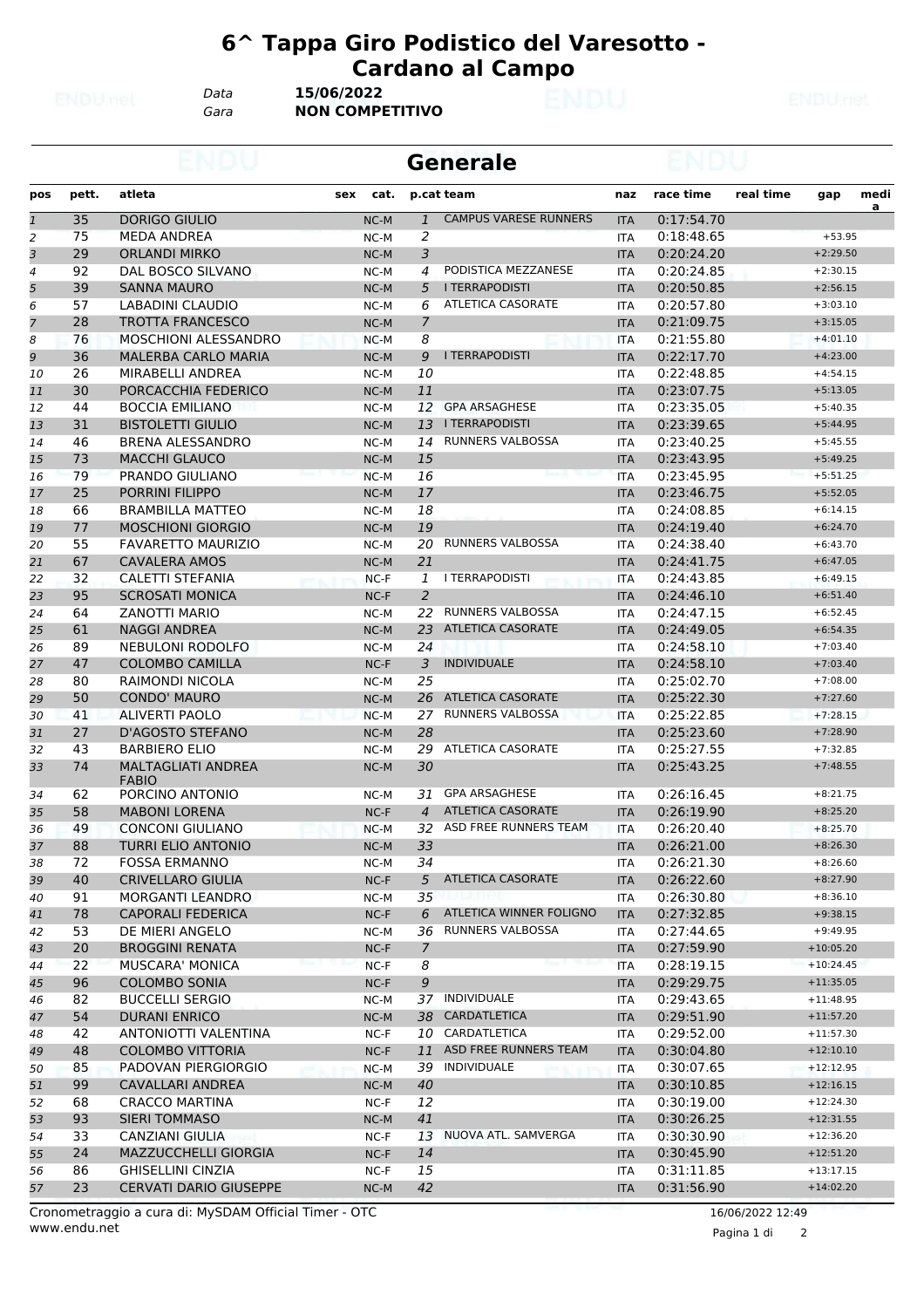**Generale**

*Data* **15/06/2022**

*Gara* **NON COMPETITIVO**

| pos | pett. | atleta                        | sex | cat.   |                | p.cat team                   | naz        | race time  | real time | gap         | medi<br>a |
|-----|-------|-------------------------------|-----|--------|----------------|------------------------------|------------|------------|-----------|-------------|-----------|
| 1   | 35    | <b>DORIGO GIULIO</b>          |     | $NC-M$ | $\mathbf{1}$   | <b>CAMPUS VARESE RUNNERS</b> | <b>ITA</b> | 0:17:54.70 |           |             |           |
| 2   | 75    | <b>MEDA ANDREA</b>            |     | NC-M   | $\overline{2}$ |                              | <b>ITA</b> | 0:18:48.65 |           | $+53.95$    |           |
| 3   | 29    | <b>ORLANDI MIRKO</b>          |     | $NC-M$ | 3              |                              | <b>ITA</b> | 0:20:24.20 |           | $+2:29.50$  |           |
| 4   | 92    | DAL BOSCO SILVANO             |     | NC-M   | 4              | PODISTICA MEZZANESE          | <b>ITA</b> | 0:20:24.85 |           | $+2:30.15$  |           |
| 5   | 39    | <b>SANNA MAURO</b>            |     | NC-M   | 5              | <b>I TERRAPODISTI</b>        | <b>ITA</b> | 0:20:50.85 |           | $+2:56.15$  |           |
| 6   | 57    | LABADINI CLAUDIO              |     | NC-M   | 6              | <b>ATLETICA CASORATE</b>     | <b>ITA</b> | 0:20:57.80 |           | $+3:03.10$  |           |
| 7   | 28    | <b>TROTTA FRANCESCO</b>       |     | $NC-M$ | 7              |                              | <b>ITA</b> | 0:21:09.75 |           | $+3:15.05$  |           |
| 8   | 76    | MOSCHIONI ALESSANDRO          |     | $NC-M$ | 8              |                              | <b>ITA</b> | 0:21:55.80 |           | $+4:01.10$  |           |
| 9   | 36    | <b>MALERBA CARLO MARIA</b>    |     | NC-M   | 9              | <b>I TERRAPODISTI</b>        | <b>ITA</b> | 0:22:17.70 |           | $+4:23.00$  |           |
| 10  | 26    | MIRABELLI ANDREA              |     | NC-M   | 10             |                              | <b>ITA</b> | 0:22:48.85 |           | $+4:54.15$  |           |
| 11  | 30    | PORCACCHIA FEDERICO           |     | NC-M   | 11             |                              | <b>ITA</b> | 0:23:07.75 |           | $+5:13.05$  |           |
| 12  | 44    | <b>BOCCIA EMILIANO</b>        |     | NC-M   | 12             | <b>GPA ARSAGHESE</b>         | <b>ITA</b> | 0:23:35.05 |           | $+5:40.35$  |           |
| 13  | 31    | <b>BISTOLETTI GIULIO</b>      |     | NC-M   | 13             | <b>I TERRAPODISTI</b>        | <b>ITA</b> | 0:23:39.65 |           | $+5:44.95$  |           |
| 14  | 46    | <b>BRENA ALESSANDRO</b>       |     | NC-M   | 14             | <b>RUNNERS VALBOSSA</b>      | <b>ITA</b> | 0:23:40.25 |           | $+5:45.55$  |           |
| 15  | 73    | <b>MACCHI GLAUCO</b>          |     | NC-M   | 15             |                              | <b>ITA</b> | 0:23:43.95 |           | $+5:49.25$  |           |
| 16  | 79    | PRANDO GIULIANO               |     | NC-M   | 16             |                              | <b>ITA</b> | 0:23:45.95 |           | $+5:51.25$  |           |
| 17  | 25    | <b>PORRINI FILIPPO</b>        |     | NC-M   | 17             |                              | <b>ITA</b> | 0:23:46.75 |           | $+5:52.05$  |           |
| 18  | 66    | <b>BRAMBILLA MATTEO</b>       |     | NC-M   | 18             |                              | <b>ITA</b> | 0:24:08.85 |           | $+6:14.15$  |           |
| 19  | 77    | <b>MOSCHIONI GIORGIO</b>      |     | $NC-M$ | 19             |                              | <b>ITA</b> | 0:24:19.40 |           | $+6:24.70$  |           |
| 20  | 55    | <b>FAVARETTO MAURIZIO</b>     |     | NC-M   | 20             | <b>RUNNERS VALBOSSA</b>      | <b>ITA</b> | 0:24:38.40 |           | $+6:43.70$  |           |
| 21  | 67    | <b>CAVALERA AMOS</b>          |     | NC-M   | 21             |                              | <b>ITA</b> | 0:24:41.75 |           | $+6:47.05$  |           |
| 22  | 32    | <b>CALETTI STEFANIA</b>       |     | $NC-F$ | 1              | <b>I TERRAPODISTI</b>        | <b>ITA</b> | 0:24:43.85 |           | $+6:49.15$  |           |
| 23  | 95    | <b>SCROSATI MONICA</b>        |     | $NC-F$ | $\overline{2}$ |                              | <b>ITA</b> | 0:24:46.10 |           | $+6:51.40$  |           |
| 24  | 64    | ZANOTTI MARIO                 |     | NC-M   | 22             | <b>RUNNERS VALBOSSA</b>      | <b>ITA</b> | 0:24:47.15 |           | $+6:52.45$  |           |
| 25  | 61    | <b>NAGGI ANDREA</b>           |     | NC-M   | 23             | <b>ATLETICA CASORATE</b>     | <b>ITA</b> | 0:24:49.05 |           | $+6:54.35$  |           |
| 26  | 89    | NEBULONI RODOLFO              |     | NC-M   | 24             |                              | <b>ITA</b> | 0:24:58.10 |           | $+7:03.40$  |           |
| 27  | 47    | <b>COLOMBO CAMILLA</b>        |     | $NC-F$ | 3              | <b>INDIVIDUALE</b>           | <b>ITA</b> | 0:24:58.10 |           | $+7:03.40$  |           |
| 28  | 80    | RAIMONDI NICOLA               |     | NC-M   | 25             |                              | <b>ITA</b> | 0:25:02.70 |           | $+7:08.00$  |           |
| 29  | 50    | <b>CONDO' MAURO</b>           |     | NC-M   |                | 26 ATLETICA CASORATE         | <b>ITA</b> | 0:25:22.30 |           | $+7:27.60$  |           |
| 30  | 41    | <b>ALIVERTI PAOLO</b>         |     | NC-M   |                | 27 RUNNERS VALBOSSA          | <b>ITA</b> | 0:25:22.85 |           | $+7:28.15$  |           |
| 31  | 27    | D'AGOSTO STEFANO              |     | NC-M   | 28             |                              | <b>ITA</b> | 0:25:23.60 |           | $+7:28.90$  |           |
| 32  | 43    | <b>BARBIERO ELIO</b>          |     | NC-M   |                | 29 ATLETICA CASORATE         | <b>ITA</b> | 0:25:27.55 |           | $+7:32.85$  |           |
| 33  | 74    | <b>MALTAGLIATI ANDREA</b>     |     | $NC-M$ | 30             |                              | <b>ITA</b> | 0:25:43.25 |           | $+7:48.55$  |           |
|     |       | <b>FABIO</b>                  |     |        |                |                              |            |            |           |             |           |
| 34  | 62    | PORCINO ANTONIO               |     | NC-M   | 31             | <b>GPA ARSAGHESE</b>         | ITA        | 0:26:16.45 |           | $+8:21.75$  |           |
| 35  | 58    | <b>MABONI LORENA</b>          |     | $NC-F$ | $\overline{4}$ | <b>ATLETICA CASORATE</b>     | <b>ITA</b> | 0:26:19.90 |           | $+8:25.20$  |           |
| 36  | 49    | <b>CONCONI GIULIANO</b>       |     | $NC-M$ |                | 32 ASD FREE RUNNERS TEAM     | <b>ITA</b> | 0:26:20.40 |           | $+8:25.70$  |           |
| 37  | 88    | <b>TURRI ELIO ANTONIO</b>     |     | NC-M   | 33             |                              | <b>ITA</b> | 0:26:21.00 |           | $+8:26.30$  |           |
| 38  | 72    | <b>FOSSA ERMANNO</b>          |     | NC-M   | 34             |                              | <b>ITA</b> | 0:26:21.30 |           | $+8:26.60$  |           |
| 39  | 40    | CRIVELLARO GIULIA             |     | $NC-F$ |                | 5 ATLETICA CASORATE          | <b>ITA</b> | 0:26:22.60 |           | $+8:27.90$  |           |
| 40  | 91    | <b>MORGANTI LEANDRO</b>       |     | NC-M   | 35             |                              | <b>ITA</b> | 0:26:30.80 |           | $+8:36.10$  |           |
| 41  | 78    | <b>CAPORALI FEDERICA</b>      |     | $NC-F$ | 6              | ATLETICA WINNER FOLIGNO      | <b>ITA</b> | 0:27:32.85 |           | $+9:38.15$  |           |
| 42  | 53    | DE MIERI ANGELO               |     | NC-M   | 36             | RUNNERS VALBOSSA             | ITA        | 0:27:44.65 |           | $+9:49.95$  |           |
| 43  | 20    | <b>BROGGINI RENATA</b>        |     | $NC-F$ | 7              |                              | <b>ITA</b> | 0:27:59.90 |           | $+10:05.20$ |           |
| 44  | 22    | <b>MUSCARA' MONICA</b>        |     | $NC-F$ | 8              |                              | <b>ITA</b> | 0:28:19.15 |           | $+10:24.45$ |           |
| 45  | 96    | <b>COLOMBO SONIA</b>          |     | $NC-F$ | 9              |                              | <b>ITA</b> | 0:29:29.75 |           | $+11:35.05$ |           |
| 46  | 82    | <b>BUCCELLI SERGIO</b>        |     | NC-M   | 37             | INDIVIDUALE                  | ITA        | 0:29:43.65 |           | $+11:48.95$ |           |
| 47  | 54    | <b>DURANI ENRICO</b>          |     | $NC-M$ | 38             | <b>CARDATLETICA</b>          | <b>ITA</b> | 0:29:51.90 |           | $+11:57.20$ |           |
| 48  | 42    | ANTONIOTTI VALENTINA          |     | $NC-F$ |                | 10 CARDATLETICA              | ITA        | 0:29:52.00 |           | $+11:57.30$ |           |
| 49  | 48    | <b>COLOMBO VITTORIA</b>       |     | $NC-F$ | 11             | ASD FREE RUNNERS TEAM        | <b>ITA</b> | 0:30:04.80 |           | $+12:10.10$ |           |
| 50  | 85    | PADOVAN PIERGIORGIO           |     | NC-M   | 39             | INDIVIDUALE                  | <b>ITA</b> | 0:30:07.65 |           | $+12:12.95$ |           |
| 51  | 99    | CAVALLARI ANDREA              |     | $NC-M$ | 40             |                              | <b>ITA</b> | 0:30:10.85 |           | $+12:16.15$ |           |
| 52  | 68    | CRACCO MARTINA                |     | $NC-F$ | 12             |                              | ITA        | 0:30:19.00 |           | $+12:24.30$ |           |
| 53  | 93    | <b>SIERI TOMMASO</b>          |     | $NC-M$ | 41             |                              | <b>ITA</b> | 0:30:26.25 |           | $+12:31.55$ |           |
| 54  | 33    | CANZIANI GIULIA               |     | $NC-F$ |                | 13 NUOVA ATL. SAMVERGA       | ITA        | 0:30:30.90 |           | $+12:36.20$ |           |
| 55  | 24    | MAZZUCCHELLI GIORGIA          |     | $NC-F$ | 14             |                              | <b>ITA</b> | 0:30:45.90 |           | $+12:51.20$ |           |
| 56  | 86    | <b>GHISELLINI CINZIA</b>      |     | $NC-F$ | 15             |                              | ITA        | 0:31:11.85 |           | $+13:17.15$ |           |
| 57  | 23    | <b>CERVATI DARIO GIUSEPPE</b> |     | NC-M   | 42             |                              | <b>ITA</b> | 0:31:56.90 |           | $+14:02.20$ |           |
|     |       |                               |     |        |                |                              |            |            |           |             |           |

www.endu.net Cronometraggio a cura di: MySDAM Official Timer - OTC 16/06/2022 12:49

Pagina 1 di 2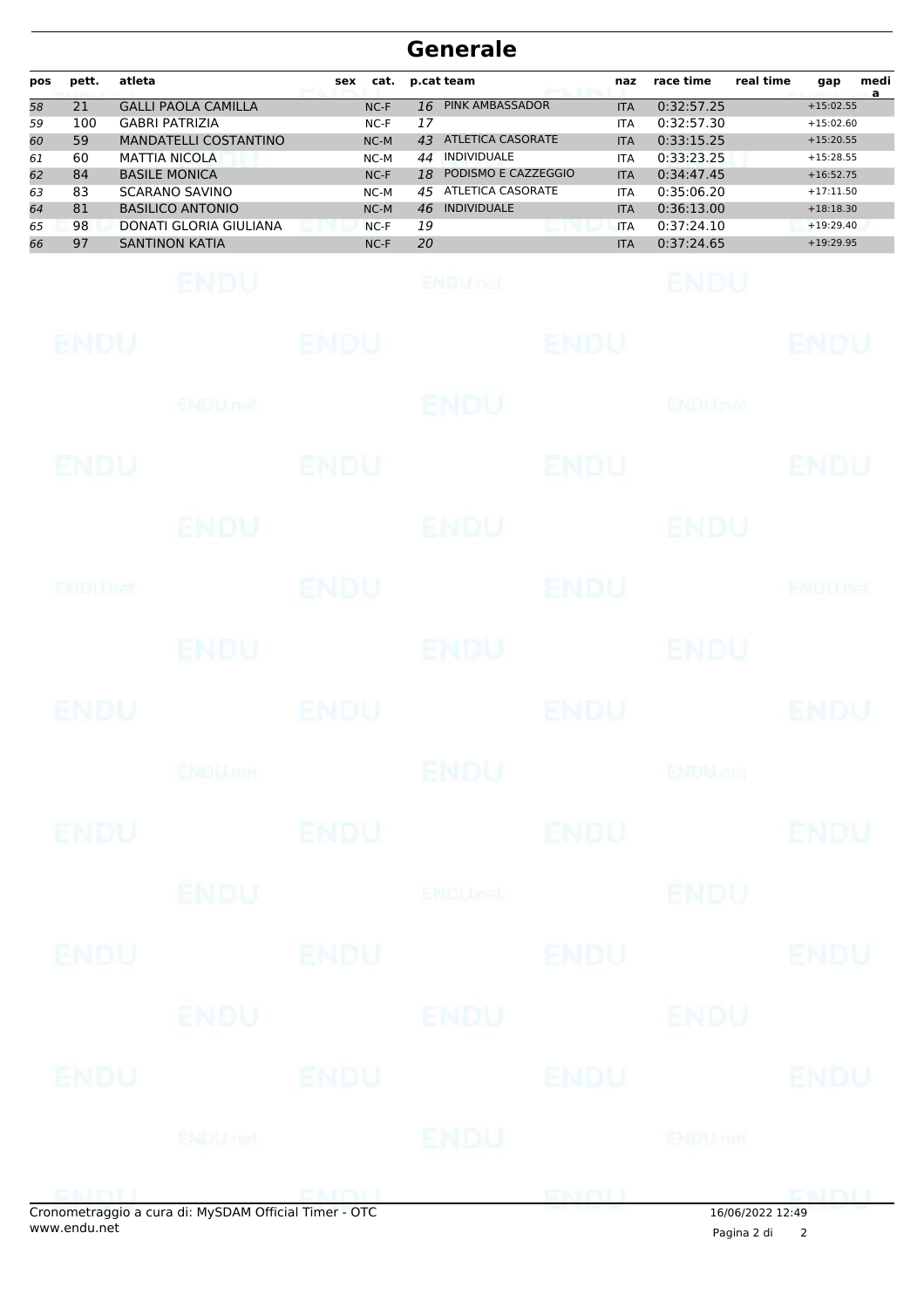| pos | pett. | atleta                       | cat.<br>sex | p.cat team                     | naz        | race time  | real time<br>medi<br>gap<br>a |
|-----|-------|------------------------------|-------------|--------------------------------|------------|------------|-------------------------------|
| 58  | 21    | <b>GALLI PAOLA CAMILLA</b>   | $NC-F$      | <b>PINK AMBASSADOR</b><br>16   | <b>ITA</b> | 0:32:57.25 | $+15:02.55$                   |
| 59  | 100   | <b>GABRI PATRIZIA</b>        | $NC-F$      | 17                             | <b>ITA</b> | 0:32:57.30 | $+15:02.60$                   |
| 60  | 59    | <b>MANDATELLI COSTANTINO</b> | $NC-M$      | <b>ATLETICA CASORATE</b><br>43 | <b>ITA</b> | 0:33:15.25 | $+15:20.55$                   |
| 61  | 60    | <b>MATTIA NICOLA</b>         | $NC-M$      | <b>INDIVIDUALE</b><br>44       | <b>ITA</b> | 0:33:23.25 | $+15:28.55$                   |
| 62  | 84    | <b>BASILE MONICA</b>         | $NC-F$      | PODISMO E CAZZEGGIO<br>18      | <b>ITA</b> | 0:34:47.45 | $+16:52.75$                   |
| 63  | 83    | <b>SCARANO SAVINO</b>        | $NC-M$      | ATLETICA CASORATE<br>45        | <b>ITA</b> | 0:35:06.20 | $+17:11.50$                   |
| 64  | 81    | <b>BASILICO ANTONIO</b>      | $NC-M$      | <b>INDIVIDUALE</b><br>46       | <b>ITA</b> | 0:36:13.00 | $+18:18.30$                   |
| 65  | 98    | DONATI GLORIA GIULIANA       | $NC-F$      | 19                             | <b>ITA</b> | 0:37:24.10 | $+19:29.40$                   |
| 66  | 97    | <b>SANTINON KATIA</b>        | $NC-F$      | 20                             | <b>ITA</b> | 0:37:24.65 | $+19:29.95$                   |

| <b>ENDU</b> |                                                     | <b>ENDU</b> |                | <b>ENDU</b> |                           | <b>ENDU</b>    |
|-------------|-----------------------------------------------------|-------------|----------------|-------------|---------------------------|----------------|
|             | <b>ENDU</b> .net                                    |             | <b>ENDU</b>    |             | <b>ENDUnet</b>            |                |
| ENDU        |                                                     | <b>ENDU</b> |                | <b>ENDU</b> |                           | <b>ENDU</b>    |
|             | ENDU                                                |             | ENDU           |             | ENDU                      |                |
| ENDUMet     |                                                     | <b>ENDU</b> |                | <b>ENDU</b> |                           | <b>ENDUnet</b> |
|             | ENDU.                                               |             | ENDU           |             | ENDU                      |                |
| <b>ENDU</b> |                                                     | <b>ENDU</b> |                | <b>ENDU</b> |                           | <b>ENDU</b>    |
|             | <b>ENDUMBL</b>                                      |             | <b>ENDU</b>    |             | <b>ENDU<sub>JOB</sub></b> |                |
| <b>ENDU</b> |                                                     | <b>ENDU</b> |                | <b>ENDU</b> |                           | <b>ENDU</b>    |
|             | <b>ENDU</b>                                         |             | <b>ENDUnet</b> |             | <b>ENDU</b>               |                |
| <b>ENDU</b> |                                                     | <b>ENDU</b> |                | <b>ENDU</b> |                           | <b>ENDU</b>    |
|             | <b>ENDU</b>                                         |             | ENDU           |             | <b>ENDU</b>               |                |
| ENDU        |                                                     | <b>ENDU</b> |                | <b>ENDU</b> |                           | <b>ENDU</b>    |
|             | <b>ENDU</b> nel                                     |             | ENDU           |             | <b>ENDUmet</b>            |                |
| ENEMI       | anometraggio a cura di: MySDAM Official Timer - OTC |             |                | ENDU        | $16/06/2022$ $12.40$      | <b>DMDLI</b>   |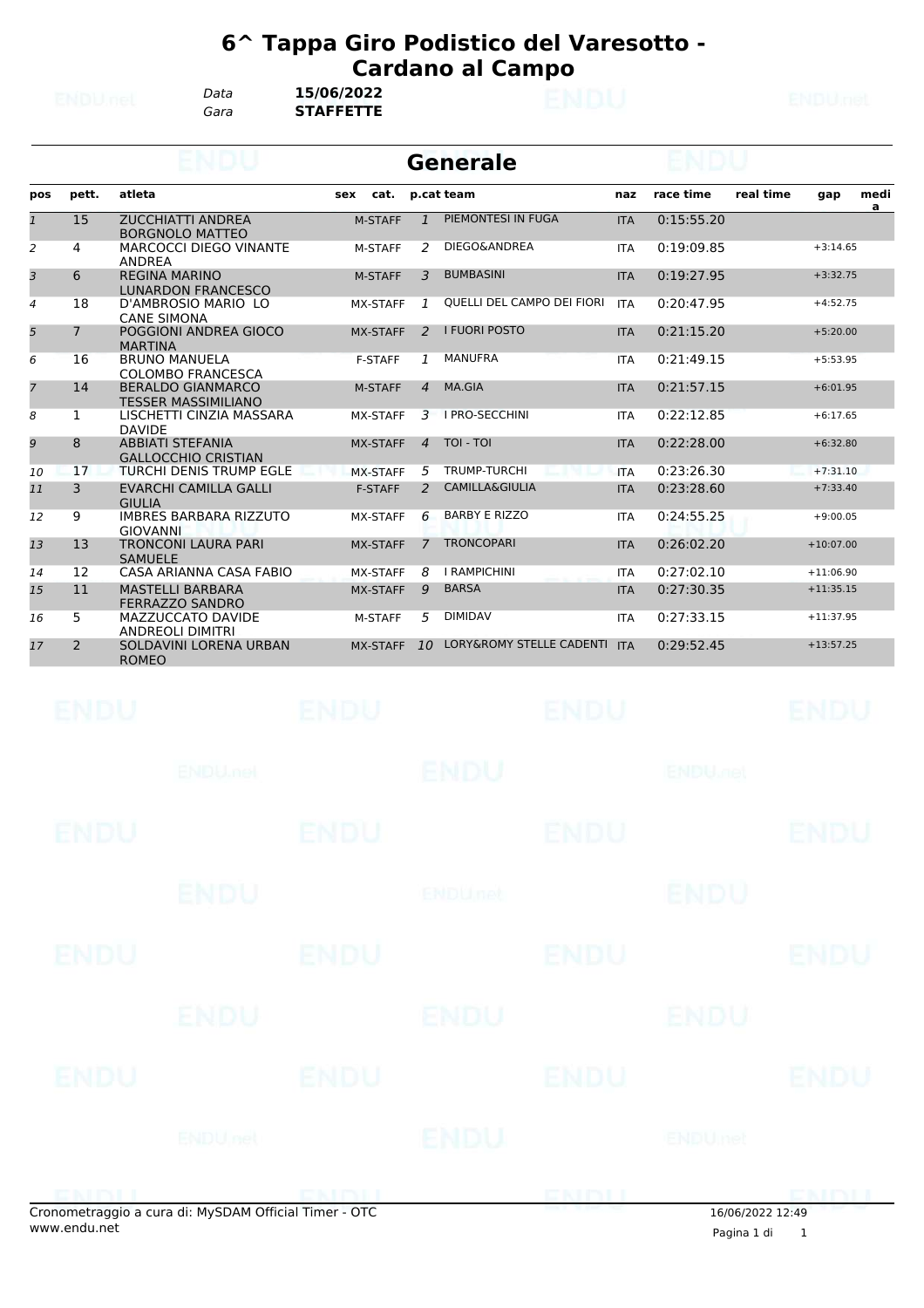*Gara* **STAFFETTE** *Data* **15/06/2022**

|                |                |                                                        | <b>Generale</b> |               |                                     |            |            |           |             |                      |
|----------------|----------------|--------------------------------------------------------|-----------------|---------------|-------------------------------------|------------|------------|-----------|-------------|----------------------|
| pos            | pett.          | atleta                                                 | cat.<br>sex     |               | p.cat team                          | naz        | race time  | real time | gap         | medi<br>$\mathbf{a}$ |
| $\overline{1}$ | 15             | <b>ZUCCHIATTI ANDREA</b><br><b>BORGNOLO MATTEO</b>     | <b>M-STAFF</b>  | $\mathbf{1}$  | PIEMONTESI IN FUGA                  | <b>ITA</b> | 0:15:55.20 |           |             |                      |
| 2              | 4              | <b>MARCOCCI DIEGO VINANTE</b><br><b>ANDREA</b>         | <b>M-STAFF</b>  | $\mathcal{P}$ | DIEGO&ANDREA                        | <b>ITA</b> | 0:19:09.85 |           | $+3:14.65$  |                      |
| 3              | 6              | <b>REGINA MARINO</b><br><b>LUNARDON FRANCESCO</b>      | M-STAFF         | 3             | <b>BUMBASINI</b>                    | <b>ITA</b> | 0:19:27.95 |           | $+3:32.75$  |                      |
| $\overline{4}$ | 18             | D'AMBROSIO MARIO LO<br><b>CANE SIMONA</b>              | <b>MX-STAFF</b> | 1             | QUELLI DEL CAMPO DEI FIORI          | <b>ITA</b> | 0:20:47.95 |           | $+4:52.75$  |                      |
| 5              | $\overline{7}$ | POGGIONI ANDREA GIOCO<br><b>MARTINA</b>                | <b>MX-STAFF</b> | $\mathcal{L}$ | <b>I FUORI POSTO</b>                | <b>ITA</b> | 0:21:15.20 |           | $+5:20.00$  |                      |
| 6              | 16             | <b>BRUNO MANUELA</b><br><b>COLOMBO FRANCESCA</b>       | <b>F-STAFF</b>  | $\mathcal{I}$ | <b>MANUFRA</b>                      | <b>ITA</b> | 0:21:49.15 |           | $+5:53.95$  |                      |
| $\overline{7}$ | 14             | <b>BERALDO GIANMARCO</b><br><b>TESSER MASSIMILIANO</b> | <b>M-STAFF</b>  | 4             | MA.GIA                              | <b>ITA</b> | 0:21:57.15 |           | $+6:01.95$  |                      |
| 8              | 1              | LISCHETTI CINZIA MASSARA<br><b>DAVIDE</b>              | MX-STAFF        | 3             | <b>I PRO-SECCHINI</b>               | <b>ITA</b> | 0:22:12.85 |           | $+6:17.65$  |                      |
| 9              | 8              | <b>ABBIATI STEFANIA</b><br><b>GALLOCCHIO CRISTIAN</b>  | <b>MX-STAFF</b> | 4             | TOI - TOI                           | <b>ITA</b> | 0:22:28.00 |           | $+6:32.80$  |                      |
| 10             | 17             | <b>TURCHI DENIS TRUMP EGLE</b>                         | <b>MX-STAFF</b> | 5             | <b>TRUMP-TURCHI</b>                 | <b>ITA</b> | 0:23:26.30 |           | $+7:31.10$  |                      |
| 11             | 3              | <b>EVARCHI CAMILLA GALLI</b><br><b>GIULIA</b>          | <b>F-STAFF</b>  | $\mathcal{P}$ | <b>CAMILLA&amp;GIULIA</b>           | <b>ITA</b> | 0:23:28.60 |           | $+7:33.40$  |                      |
| 12             | 9              | <b>IMBRES BARBARA RIZZUTO</b><br><b>GIOVANNI</b>       | MX-STAFF        | 6             | <b>BARBY E RIZZO</b>                | <b>ITA</b> | 0:24:55.25 |           | $+9:00.05$  |                      |
| 13             | 13             | <b>TRONCONI LAURA PARI</b><br><b>SAMUELE</b>           | <b>MX-STAFF</b> | 7             | <b>TRONCOPARI</b>                   | <b>ITA</b> | 0:26:02.20 |           | $+10:07.00$ |                      |
| 14             | 12             | CASA ARIANNA CASA FABIO                                | <b>MX-STAFF</b> | 8             | <b>I RAMPICHINI</b>                 | <b>ITA</b> | 0:27:02.10 |           | $+11:06.90$ |                      |
| 15             | 11             | <b>MASTELLI BARBARA</b><br><b>FERRAZZO SANDRO</b>      | <b>MX-STAFF</b> | 9             | <b>BARSA</b>                        | <b>ITA</b> | 0:27:30.35 |           | $+11:35.15$ |                      |
| 16             | 5              | MAZZUCCATO DAVIDE<br><b>ANDREOLI DIMITRI</b>           | <b>M-STAFF</b>  | 5             | <b>DIMIDAV</b>                      | <b>ITA</b> | 0:27:33.15 |           | $+11:37.95$ |                      |
| 17             | 2              | SOLDAVINI LORENA URBAN<br><b>ROMEO</b>                 | <b>MX-STAFF</b> | 10            | <b>LORY&amp;ROMY STELLE CADENTI</b> | <b>ITA</b> | 0:29:52.45 |           | $+13:57.25$ |                      |

|             | conomotraggio a cura di: MySDAM Official Timor. OTC |             |                |             | 16/06/202212.40           |             |
|-------------|-----------------------------------------------------|-------------|----------------|-------------|---------------------------|-------------|
|             |                                                     |             |                | ENDIJ       |                           | <b>CMDU</b> |
|             | <b>ENDUnet</b>                                      |             | ENDU           |             | ENDUmet                   |             |
| <b>ENDU</b> |                                                     | <b>ENDU</b> |                | <b>ENDU</b> |                           | <b>ENDU</b> |
|             | <b>ENDU</b>                                         |             | ENDU           |             | ENDU                      |             |
| ENDU        |                                                     | <b>ENDU</b> |                | <b>ENDU</b> |                           | <b>ENDU</b> |
|             | <b>ENDU</b>                                         |             | <b>ENDUnet</b> |             | <b>ENDU</b>               |             |
| <b>ENDU</b> |                                                     | <b>ENDU</b> |                | <b>ENDU</b> |                           | <b>ENDU</b> |
|             | <b>ENDUMBL</b>                                      |             | <b>ENDU</b>    |             | <b>ENDU<sub>DEL</sub></b> |             |
| <b>ENDU</b> |                                                     | <b>ENDU</b> |                | <b>ENDU</b> |                           | <b>ENDU</b> |

Pagina 1 di 1 16/06/2022 12:49